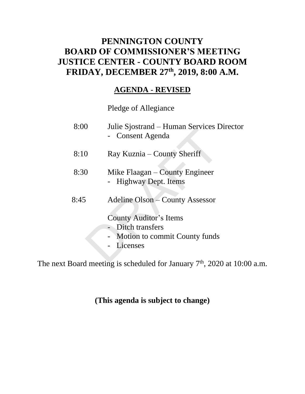### **PENNINGTON COUNTY BOARD OF COMMISSIONER'S MEETING JUSTICE CENTER - COUNTY BOARD ROOM FRIDAY, DECEMBER 27th , 2019, 8:00 A.M.**

### **AGENDA - REVISED**

Pledge of Allegiance

| 8:00    | Julie Sjostrand – Human Services Director<br>- Consent Agenda                                                                        |
|---------|--------------------------------------------------------------------------------------------------------------------------------------|
| 8:10    | Ray Kuznia – County Sheriff                                                                                                          |
| 8:30    | Mike Flaagan – County Engineer<br>- Highway Dept. Items                                                                              |
| 8:45    | Adeline Olson – County Assessor<br><b>County Auditor's Items</b><br>- Ditch transfers<br>- Motion to commit County funds<br>Licenses |
| المدحجة | $\mu$ and $\mu$ is a shorted of face Laurence $\pi$ <sup>th</sup> 2020 at 10.                                                        |

The next Board meeting is scheduled for January  $7<sup>th</sup>$ , 2020 at 10:00 a.m.

### **(This agenda is subject to change)**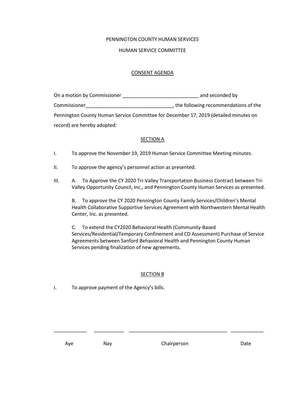#### PENNINGTON COUNTY HUMAN SERVICES

#### HUMAN SERVICE COMMITTEE

#### CONSENT AGENDA

| On a motion by Commissioner | and seconded by                                                                      |
|-----------------------------|--------------------------------------------------------------------------------------|
| Commissioner                | , the following recommendations of the                                               |
|                             | Pennington County Human Service Committee for December 17, 2019 (detailed minutes on |
| record) are hereby adopted: |                                                                                      |

#### **SECTION A**

- I. To approve the November 19, 2019 Human Service Committee Meeting minutes.
- II. To approve the agency's personnel action as presented.
- III. A. To Approve the CY 2020 Tri-Valley Transportation Business Contract between Tri-Valley Opportunity Council, Inc., and Pennington County Human Services as presented.

B. To approve the CY 2020 Pennington County Family Services/Children's Mental Health Collaborative Supportive Services Agreement with Northwestern Mental Health Center, Inc. as presented.

C. To extend the CY2020 Behavioral Health (Community-Based Services/Residential/Temporary Confinement and CD Assessment) Purchase of Service Agreements between Sanford Behavioral Health and Pennington County Human Services pending finalization of new agreements.

#### SECTION B

\_\_\_\_\_\_\_\_\_\_\_\_ \_\_\_\_\_\_\_\_\_\_\_ \_\_\_\_\_\_\_\_\_\_\_\_\_\_\_\_\_\_\_\_\_\_\_\_\_\_\_\_\_\_\_\_\_\_\_\_ \_\_\_\_\_\_\_\_\_\_\_\_

I. To approve payment of the Agency's bills.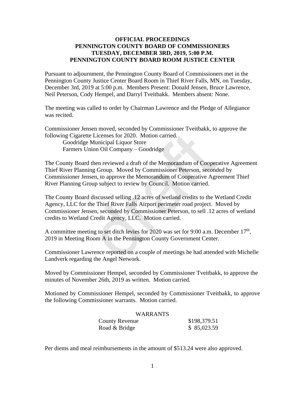### **OFFICIAL PROCEEDINGS PENNINGTON COUNTY BOARD OF COMMISSIONERS TUESDAY, DECEMBER 3RD, 2019, 5:00 P.M. PENNINGTON COUNTY BOARD ROOM JUSTICE CENTER**

Pursuant to adjournment, the Pennington County Board of Commissioners met in the Pennington County Justice Center Board Room in Thief River Falls, MN, on Tuesday, December 3rd, 2019 at 5:00 p.m. Members Present: Donald Jensen, Bruce Lawrence, Neil Peterson, Cody Hempel, and Darryl Tveitbakk. Members absent: None.

The meeting was called to order by Chairman Lawrence and the Pledge of Allegiance was recited.

Commissioner Jensen moved, seconded by Commissioner Tveitbakk, to approve the following Cigarette Licenses for 2020. Motion carried.

Goodridge Municipal Liquor Store Farmers Union Oil Company – Goodridge

The County Board then reviewed a draft of the Memorandum of Cooperative Agreement Thief River Planning Group. Moved by Commissioner Peterson, seconded by Commissioner Jensen, to approve the Memorandum of Cooperative Agreement Thief River Planning Group subject to review by Council. Motion carried.

The County Board discussed selling .12 acres of wetland credits to the Wetland Credit Agency, LLC for the Thief River Falls Airport perimeter road project. Moved by Commissioner Jensen, seconded by Commissioner Peterson, to sell .12 acres of wetland credits to Wetland Credit Agency, LLC. Motion carried. Lie Lienses for 2020. Motion carried.<br>
External External Political Liquor Store<br>
Jinion Oil Company – Goodridge<br>
d then reviewed a draft of the Memorandum of Cooper-<br>
linion Oil Company – Goodridge<br>
d then reviewed a draft

A committee meeting to set ditch levies for 2020 was set for 9:00 a.m. December  $17<sup>th</sup>$ , 2019 in Meeting Room A in the Pennington County Government Center.

Commissioner Lawrence reported on a couple of meetings he had attended with Michelle Landverk regarding the Angel Network.

Moved by Commissioner Hempel, seconded by Commissioner Tveitbakk, to approve the minutes of November 26th, 2019 as written. Motion carried.

Motioned by Commissioner Hempel, seconded by Commissioner Tveitbakk, to approve the following Commissioner warrants. Motion carried.

| <b>WARRANTS</b> |              |
|-----------------|--------------|
| County Revenue  | \$198,379.51 |
| Road & Bridge   | \$85,023.59  |

Per diems and meal reimbursements in the amount of \$513.24 were also approved.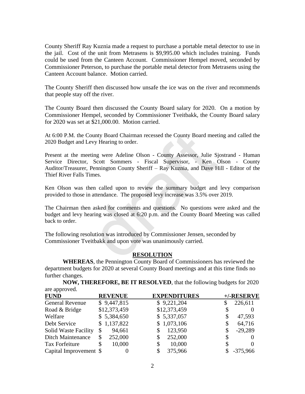County Sheriff Ray Kuznia made a request to purchase a portable metal detector to use in the jail. Cost of the unit from Metrasens is \$9,995.00 which includes training. Funds could be used from the Canteen Account. Commissioner Hempel moved, seconded by Commissioner Peterson, to purchase the portable metal detector from Metrasens using the Canteen Account balance. Motion carried.

The County Sheriff then discussed how unsafe the ice was on the river and recommends that people stay off the river.

The County Board then discussed the County Board salary for 2020. On a motion by Commissioner Hempel, seconded by Commissioner Tveitbakk, the County Board salary for 2020 was set at \$21,000.00. Motion carried.

At 6:00 P.M. the County Board Chairman recessed the County Board meeting and called the 2020 Budget and Levy Hearing to order.

Present at the meeting were Adeline Olson - County Assessor, Julie Sjostrand - Human Service Director, Scott Sommers - Fiscal Supervisor, - Ken Olson - County Auditor/Treasurer, Pennington County Sheriff – Ray Kuznia, and Dave Hill - Editor of the Thief River Falls Times. County Board Chairman recessed the County Board meet<br>Levy Hearing to order.<br>Levy Hearing to order.<br>
Section Schemens - Fiscal Supervisor, - Ken (<br>
Remnington County Sheriff – Ray Kuznia, and Dave H<br>
Times.<br>
then called upo

Ken Olson was then called upon to review the summary budget and levy comparison provided to those in attendance. The proposed levy increase was 3.5% over 2019.

The Chairman then asked for comments and questions. No questions were asked and the budget and levy hearing was closed at 6:20 p.m. and the County Board Meeting was called back to order.

The following resolution was introduced by Commissioner Jensen, seconded by Commissioner Tveitbakk and upon vote was unanimously carried.

### **RESOLUTION**

**WHEREAS**, the Pennington County Board of Commissioners has reviewed the department budgets for 2020 at several County Board meetings and at this time finds no further changes.

**NOW, THEREFORE, BE IT RESOLVED**, that the following budgets for 2020 are approved.

| <b>FUND</b>                 |    | <b>REVENUE</b> |    | <b>EXPENDITURES</b> |  | $+/-$ RESERVE |
|-----------------------------|----|----------------|----|---------------------|--|---------------|
| <b>General Revenue</b>      |    | \$9,447,815    |    | \$9,221,204         |  | 226,611       |
| Road & Bridge               |    | \$12,373,459   |    | \$12,373,459        |  |               |
| Welfare                     |    | \$5,384,650    |    | \$5,337,057         |  | 47,593        |
| Debt Service                |    | \$1,137,822    |    | \$1,073,106         |  | 64,716        |
| <b>Solid Waste Facility</b> | S  | 94,661         |    | 123,950             |  | $-29,289$     |
| <b>Ditch Maintenance</b>    |    | 252,000        |    | 252,000             |  |               |
| Tax Forfeiture              | \$ | 10,000         | \$ | 10,000              |  |               |
| Capital Improvement \$      |    |                |    | 375,966             |  | $-375,966$    |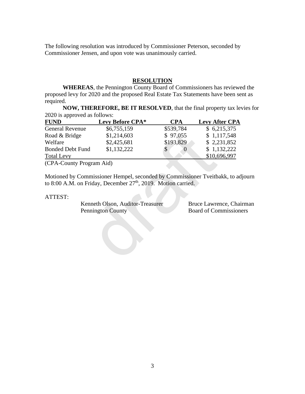The following resolution was introduced by Commissioner Peterson, seconded by Commissioner Jensen, and upon vote was unanimously carried.

### **RESOLUTION**

**WHEREAS**, the Pennington County Board of Commissioners has reviewed the proposed levy for 2020 and the proposed Real Estate Tax Statements have been sent as required.

**NOW, THEREFORE, BE IT RESOLVED**, that the final property tax levies for 2020 is approved as follows:

| <b>FUND</b>              | Levy Before CPA*                                                                                                                                                                                                        | <b>CPA</b>         | <b>Levy After CPA</b>                             |
|--------------------------|-------------------------------------------------------------------------------------------------------------------------------------------------------------------------------------------------------------------------|--------------------|---------------------------------------------------|
| <b>General Revenue</b>   | \$6,755,159                                                                                                                                                                                                             | \$539,784          | \$6,215,375                                       |
| Road & Bridge            | \$1,214,603                                                                                                                                                                                                             | \$97,055           | \$1,117,548                                       |
| Welfare                  | \$2,425,681                                                                                                                                                                                                             | \$193,829          | \$2,231,852                                       |
| <b>Bonded Debt Fund</b>  | \$1,132,222                                                                                                                                                                                                             | \$<br>$\mathbf{0}$ | \$1,132,222                                       |
| <b>Total Levy</b>        |                                                                                                                                                                                                                         |                    | \$10,696,997                                      |
| (CPA-County Program Aid) |                                                                                                                                                                                                                         |                    |                                                   |
| ATTEST:                  | Motioned by Commissioner Hempel, seconded by Commissioner Tveitbakk, to ac<br>to 8:00 A.M. on Friday, December 27 <sup>th</sup> , 2019. Motion carried.<br>Kenneth Olson, Auditor-Treasurer<br><b>Pennington County</b> |                    | Bruce Lawrence, Cha<br><b>Board of Commission</b> |

Motioned by Commissioner Hempel, seconded by Commissioner Tveitbakk, to adjourn to 8:00 A.M. on Friday, December 27<sup>th</sup>, 2019. Motion carried.

#### ATTEST:

Kenneth Olson, Auditor-Treasurer Bruce Lawrence, Chairman Pennington County Board of Commissioners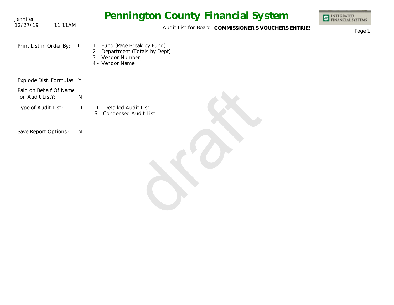| Jennifer                                  | <b>Pennington County Financial System</b>                                                                                  | <b>INTEGRATED</b><br><b>FINANCIAL SYSTEMS</b> |
|-------------------------------------------|----------------------------------------------------------------------------------------------------------------------------|-----------------------------------------------|
| 12/27/19<br>11:11AM                       | Audit List for Board COMMISSIONER'S VOUCHERS ENTRIES                                                                       | Page 1                                        |
| Print List in Order By:                   | 1 - Fund (Page Break by Fund)<br>$\overline{1}$<br>2 - Department (Totals by Dept)<br>3 - Vendor Number<br>4 - Vendor Name |                                               |
| Explode Dist. Formulas Y                  |                                                                                                                            |                                               |
| Paid on Behalf Of Name<br>on Audit List?: | $\mathsf{N}$                                                                                                               |                                               |
| Type of Audit List:                       | D - Detailed Audit List<br>D<br>S - Condensed Audit List                                                                   |                                               |
| Save Report Options?:                     | N                                                                                                                          |                                               |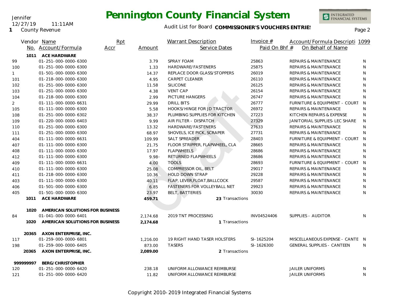**1** County Revenue

12/27/19 11:11AM

Jennifer

### Audit List for Board COMMISSIONER'S VOUCHERS ENTRIES<br>Page 2

|                |           | Vendor Name                                   | Rpt  |          | <b>Warrant Description</b>     | Invoice $#$   | Account/Formula Descripti 1099    |              |
|----------------|-----------|-----------------------------------------------|------|----------|--------------------------------|---------------|-----------------------------------|--------------|
|                |           | No. Account/Formula                           | Accr | Amount   | Service Dates                  | Paid On Bhf # | On Behalf of Name                 |              |
|                | 1011      | <b>ACE HARDWARE</b>                           |      |          |                                |               |                                   |              |
| 99             |           | 01-251-000-0000-6300                          |      | 3.79     | SPRAY FOAM                     | 25863         | <b>REPAIRS &amp; MAINTENANCE</b>  | N            |
| 100            |           | 01-251-000-0000-6300                          |      | 1.33     | HARDWARE/FASTENERS             | 25875         | <b>REPAIRS &amp; MAINTENANCE</b>  | N            |
| $\mathbf{1}$   |           | 01-501-000-0000-6300                          |      | 14.37    | REPLACE DOOR GLASS/STOPPERS    | 26019         | <b>REPAIRS &amp; MAINTENANCE</b>  | N            |
| 101            |           | 01-218-000-0000-6300                          |      | 4.95     | <b>CARPET CLEANER</b>          | 26110         | REPAIRS & MAINTENANCE             | N            |
| 102            |           | 01-251-000-0000-6300                          |      | 11.58    | <b>SILICONE</b>                | 26125         | REPAIRS & MAINTENANCE             | N            |
| 103            |           | 01-251-000-0000-6300                          |      | 4.38     | <b>VENT CAP</b>                | 26154         | REPAIRS & MAINTENANCE             | $\mathsf{N}$ |
| 104            |           | 01-218-000-0000-6300                          |      | 2.99     | PICTURE HANGERS                | 26747         | <b>REPAIRS &amp; MAINTENANCE</b>  | N            |
| $\overline{2}$ |           | 01-111-000-0000-6631                          |      | 29.99    | <b>DRILL BITS</b>              | 26777         | FURNITURE & EQUIPMENT - COURT     | N            |
| 105            |           | 01-111-000-0000-6300                          |      | 5.58     | HOOKS/HINGE FOR JD TRACTOR     | 26972         | <b>REPAIRS &amp; MAINTENANCE</b>  | N            |
| 108            |           | 01-251-000-0000-6302                          |      | 38.37    | PLUMBING SUPPLIES FOR KITCHEN  | 27223         | KITCHEN REPAIRS & EXPENSE         | N            |
| 109            |           | 01-220-000-0000-6403                          |      | 9.99     | AIR FILTER - DISPATCH          | 27329         | JANITORIAL SUPPLIES-LEC SHARE     | N            |
| 110            |           | 01-251-000-0000-6300                          |      | 13.32    | HARDWARE/FASTENERS             | 27633         | <b>REPAIRS &amp; MAINTENANCE</b>  | N            |
| 111            |           | 01-251-000-0000-6300                          |      | 68.97    | SHOVELS, ICE PICK, SCRAPER     | 27731         | <b>REPAIRS &amp; MAINTENANCE</b>  | N            |
| 404            |           | 01-111-000-0000-6631                          |      | 109.99   | SALT SPREADER                  | 28403         | FURNITURE & EQUIPMENT - COURT     | N            |
| 407            |           | 01-111-000-0000-6300                          |      | 21.75    | FLOOR STRIPPER, FLAPWHEEL, CLA | 28665         | <b>REPAIRS &amp; MAINTENANCE</b>  | N            |
| 408            |           | 01-111-000-0000-6300                          |      | 17.97    | <b>FLAPWHEELS</b>              | 28686         | REPAIRS & MAINTENANCE             | N            |
| 412            |           | 01-111-000-0000-6300                          |      | $9.98 -$ | RETURNED FLAPWHEELS            | 28686         | <b>REPAIRS &amp; MAINTENANCE</b>  | N            |
| 409            |           | 01-111-000-0000-6631                          |      | 4.00     | <b>TOOLS</b>                   | 28693         | FURNITURE & EQUIPMENT - COURT     | <sup>N</sup> |
| 410            |           | 01-111-000-0000-6300                          |      | 25.08    | COMPRESSOR OIL, BELT           | 29017         | <b>REPAIRS &amp; MAINTENANCE</b>  | N            |
| 411            |           | 01-218-000-0000-6300                          |      | 10.36    | <b>HOLD DOWN STRAP</b>         | 29228         | <b>REPAIRS &amp; MAINTENANCE</b>  | N            |
| 403            |           | 01-111-000-0000-6300                          |      | 40.11    | FLAP, LEVER, FLOAT, BALLCOCK   | 29587         | <b>REPAIRS &amp; MAINTENANCE</b>  | N            |
| 406            |           | 01-501-000-0000-6300                          |      | 6.85     | FASTENERS FOR VOLLEYBALL NET   | 29923         | REPAIRS & MAINTENANCE             | N            |
| 405            |           | 01-501-000-0000-6300                          |      | 23.97    | <b>BELT, BATTERIES</b>         | 30030         | <b>REPAIRS &amp; MAINTENANCE</b>  | N            |
|                | 1011      | <b>ACE HARDWARE</b>                           |      | 459.71   | 23 Transactions                |               |                                   |              |
|                |           |                                               |      |          |                                |               |                                   |              |
|                | 1020      | AMERICAN SOLUTIONS FOR BUSINESS               |      |          |                                |               |                                   |              |
| 84             |           | 01-041-000-0000-6401                          |      | 2,174.68 | 2019 TNT PROCESSING            | INV04524406   | SUPPLIES - AUDITOR                | N            |
|                | 1020      | AMERICAN SOLUTIONS FOR BUSINESS               |      | 2,174.68 | 1 Transactions                 |               |                                   |              |
|                |           |                                               |      |          |                                |               |                                   |              |
|                | 20365     | AXON ENTERPRISE, INC.<br>01-259-000-0000-6801 |      |          | 19 RIGHT HAND TASER HOLSTERS   | SI-1625204    | MISCELLANEOUS EXPENSE - CANTE N   |              |
| 117            |           |                                               |      | 1,216.00 | <b>TASERS</b>                  |               |                                   | N            |
| 198            | 20365     | 01-259-000-0000-6405                          |      | 873.00   | 2 Transactions                 | SI-1626300    | <b>GENERAL SUPPLIES - CANTEEN</b> |              |
|                |           | AXON ENTERPRISE, INC.                         |      | 2,089.00 |                                |               |                                   |              |
|                | 999999997 | BERG/CHRISTOPHER                              |      |          |                                |               |                                   |              |
| 120            |           | 01-251-000-0000-6420                          |      | 238.18   | UNIFORM ALLOWANCE REIMBURSE    |               | <b>JAILER UNIFORMS</b>            | N            |
| 121            |           | 01-251-000-0000-6420                          |      | 11.82    | UNIFORM ALLOWANCE REIMBURSE    |               | <b>JAILER UNIFORMS</b>            | N            |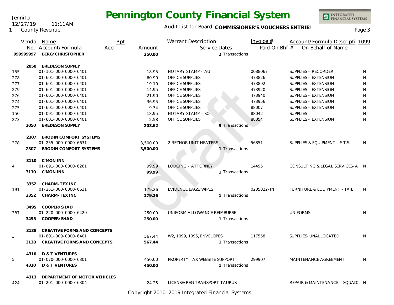Jennifer 12/27/19 11:11AM

**1** County Revenue

### Audit List for Board COMMISSIONER'S VOUCHERS ENTRIES<br>Page 3

INTEGRATED<br>FINANCIAL SYSTEMS

|     |           | Vendor Name                        | Rpt  |          | <b>Warrant Description</b>   |                | Invoice $#$   | Account/Formula Descripti 1099  |              |
|-----|-----------|------------------------------------|------|----------|------------------------------|----------------|---------------|---------------------------------|--------------|
|     |           | No. Account/Formula                | Accr | Amount   | Service Dates                |                | Paid On Bhf # | On Behalf of Name               |              |
|     | 999999997 | BERG/CHRISTOPHER                   |      | 250.00   |                              | 2 Transactions |               |                                 |              |
|     | 2050      | <b>BREDESON SUPPLY</b>             |      |          |                              |                |               |                                 |              |
| 155 |           | 01-101-000-0000-6401               |      | 18.95    | NOTARY STAMP - AU            |                | 0088067       | SUPPLIES - RECORDER             | N            |
| 278 |           | 01-601-000-0000-6401               |      | 60.90    | <b>OFFICE SUPPLIES</b>       |                | 473826        | SUPPLIES - EXTENSION            | N            |
| 277 |           | 01-601-000-0000-6401               |      | 19.10    | <b>OFFICE SUPPLIES</b>       |                | 473892        | SUPPLIES - EXTENSION            | $\mathsf{N}$ |
| 279 |           | 01-601-000-0000-6401               |      | 14.95    | OFFICE SUPPLIES              |                | 473920        | SUPPLIES - EXTENSION            | $\mathsf{N}$ |
| 276 |           | 01-601-000-0000-6401               |      | 21.90    | OFFICE SUPPLIES              |                | 473940        | SUPPLIES - EXTENSION            | $\mathsf{N}$ |
| 274 |           | 01-601-000-0000-6401               |      | 36.95    | <b>OFFICE SUPPLIES</b>       |                | 473956        | SUPPLIES - EXTENSION            | N            |
| 275 |           | 01-601-000-0000-6401               |      | 9.34     | OFFICE SUPPLIES              |                | 88007         | SUPPLIES - EXTENSION            | N            |
| 150 |           | 01-091-000-0000-6401               |      | 18.95    | NOTARY STAMP - SO            |                | 88042         | <b>SUPPLIES</b>                 | $\mathsf{N}$ |
| 273 |           | 01-601-000-0000-6401               |      | 2.58     | OFFICE SUPPLIES              |                | 88054         | SUPPLIES - EXTENSION            | $\mathsf{N}$ |
|     | 2050      | <b>BREDESON SUPPLY</b>             |      | 203.62   |                              | 9 Transactions |               |                                 |              |
|     | 2307      | BRODIN COMFORT SYSTEMS             |      |          |                              |                |               |                                 |              |
| 378 |           | 01-255-000-0000-6631               |      | 3,500.00 | 2 REZNOR UNIT HEATERS        |                | 56851         | SUPPLIES & EQUIPMENT - S.T.S.   | N            |
|     | 2307      | <b>BRODIN COMFORT SYSTEMS</b>      |      | 3.500.00 |                              | 1 Transactions |               |                                 |              |
|     |           | 3110 C'MON INN                     |      |          |                              |                |               |                                 |              |
| 4   |           | 01-091-000-0000-6261               |      | 99.99    | LODGING - ATTORNEY           |                | 14495         | CONSULTING & LEGAL SERVICES-A N |              |
|     |           | 3110 C'MON INN                     |      | 99.99    |                              | 1 Transactions |               |                                 |              |
|     |           | 3352 CHARM-TEX INC                 |      |          |                              |                |               |                                 |              |
| 191 |           | 01-251-000-0000-6631               |      | 179.26   | <b>EVIDENCE BAGS/WIPES</b>   |                | 0205822-IN    | FURNITURE & EQUIPMENT - JAIL    | N            |
|     | 3352      | <b>CHARM-TEX INC</b>               |      | 179.26   |                              | 1 Transactions |               |                                 |              |
|     |           | 3495 COOPER/SHAD                   |      |          |                              |                |               |                                 |              |
| 387 |           | 01-220-000-0000-6420               |      | 250.00   | UNIFORM ALLOWANCE REIMBURSE  |                |               | <b>UNIFORMS</b>                 | N            |
|     |           | 3495 COOPER/SHAD                   |      | 250.00   |                              | 1 Transactions |               |                                 |              |
|     | 3138      | <b>CREATIVE FORMS AND CONCEPTS</b> |      |          |                              |                |               |                                 |              |
| 3   |           | 01-801-000-0000-6401               |      | 567.44   | W2, 1099, 1095, ENVELOPES    |                | 117558        | SUPPLIES-UNALLOCATED            | N            |
|     | 3138      | <b>CREATIVE FORMS AND CONCEPTS</b> |      | 567.44   |                              | 1 Transactions |               |                                 |              |
|     |           | 4310 D & T VENTURES                |      |          |                              |                |               |                                 |              |
| 5   |           | 01-070-000-0000-6301               |      | 450.00   | PROPERTY TAX WEBSITE SUPPORT |                | 299907        | MAINTENANCE AGREEMENT           | N            |
|     |           | 4310 D & T VENTURES                |      | 450.00   |                              | 1 Transactions |               |                                 |              |
|     | 4313      | DEPARTMENT OF MOTOR VEHICLES       |      |          |                              |                |               |                                 |              |
| 424 |           | 01-201-000-0000-6304               |      | 24.25    | LICENSE/REG TRANSPORT TAURUS |                |               | REPAIR & MAINTENANCE - SQUAD! N |              |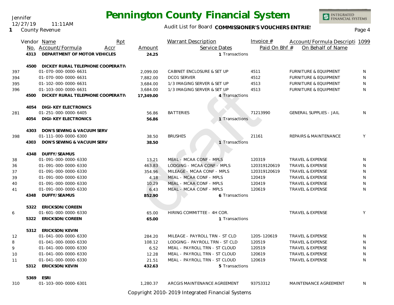Jennifer 12/27/19 11:11AM

**1** County Revenue

### Audit List for Board COMMISSIONER'S VOUCHERS ENTRIES<br>Page 4

INTEGRATED<br>FINANCIAL SYSTEMS

|     |      | Rpt<br>Vendor Name                |           | <b>Warrant Description</b>     | Invoice $#$   | Account/Formula Descripti 1099   |    |
|-----|------|-----------------------------------|-----------|--------------------------------|---------------|----------------------------------|----|
|     |      | No. Account/Formula<br>Accr       | Amount    | Service Dates                  | Paid On Bhf # | On Behalf of Name                |    |
|     | 4313 | DEPARTMENT OF MOTOR VEHICLES      | 24.25     | 1 Transactions                 |               |                                  |    |
|     | 4500 | DICKEY RURAL TELEPHONE COOPERATIV |           |                                |               |                                  |    |
| 397 |      | 01-070-000-0000-6631              | 2,099.00  | CABINET ENCLOSURE & SET UP     | 4511          | FURNITURE & EQUIPMENT            | N  |
| 394 |      | 01-070-000-0000-6631              | 7.882.00  | <b>DCO1 SERVER</b>             | 4512          | <b>FURNITURE &amp; EQUIPMENT</b> | N  |
| 395 |      | 01-102-000-0000-6631              | 3,684.00  | 1/3 IMAGING SERVER & SET UP    | 4513          | FURNITURE & EQUIPMENT            | N  |
| 396 |      | 01-103-000-0000-6631              | 3,684.00  | 1/3 IMAGING SERVER & SET UP    | 4513          | <b>FURNITURE &amp; EQUIPMENT</b> | N  |
|     | 4500 | DICKEY RURAL TELEPHONE COOPERATIV | 17,349.00 | 4 Transactions                 |               |                                  |    |
|     | 4054 | DIGI-KEY ELECTRONICS              |           |                                |               |                                  |    |
| 281 |      | 01-251-000-0000-6405              | 56.86     | <b>BATTERIES</b>               | 71213990      | <b>GENERAL SUPPLIES - JAIL</b>   | N  |
|     | 4054 | <b>DIGI-KEY ELECTRONICS</b>       | 56.86     | 1 Transactions                 |               |                                  |    |
|     | 4303 | DON'S SEWING & VACUUM SERV        |           |                                |               |                                  |    |
| 398 |      | 01-111-000-0000-6300              | 38.50     | <b>BRUSHES</b>                 | 21161         | <b>REPAIRS &amp; MAINTENANCE</b> | Y  |
|     | 4303 | DON'S SEWING & VACUUM SERV        | 38.50     | 1 Transactions                 |               |                                  |    |
|     | 4348 | DUFFY/SEAMUS                      |           |                                |               |                                  |    |
| 38  |      | 01-091-000-0000-6330              | 13.21     | MEAL - MCAA CONF - MPLS        | 120319        | TRAVEL & EXPENSE                 | N  |
| 36  |      | 01-091-000-0000-6330              | 463.83    | LODGING - MCAA CONF - MPLS     | 120319120619  | <b>TRAVEL &amp; EXPENSE</b>      | N  |
| 37  |      | 01-091-000-0000-6330              | 354.96    | MILEAGE - MCAA CONF - MPLS     | 120319120619  | <b>TRAVEL &amp; EXPENSE</b>      | N  |
| 39  |      | 01-091-000-0000-6330              | 4.18      | MEAL - MCAA CONF - MPLS        | 120419        | TRAVEL & EXPENSE                 | N  |
| 40  |      | 01-091-000-0000-6330              | 10.29     | MEAL - MCAA CONF - MPLS        | 120419        | TRAVEL & EXPENSE                 | N  |
| 41  |      | 01-091-000-0000-6330              | 6.43      | MEAL - MCAA CONF - MPLS        | 120619        | <b>TRAVEL &amp; EXPENSE</b>      | N  |
|     | 4348 | DUFFY/SEAMUS                      | 852.90    | 6 Transactions                 |               |                                  |    |
|     | 5322 | ERICKSON/COREEN                   |           |                                |               |                                  |    |
| 6   |      | 01-601-000-0000-6330              | 65.00     | HIRING COMMITTEE - 4H COR.     |               | <b>TRAVEL &amp; EXPENSE</b>      | Y  |
|     | 5322 | ERICKSON/COREEN                   | 65.00     | 1 Transactions                 |               |                                  |    |
|     | 5312 | ERICKSON/KEVIN                    |           |                                |               |                                  |    |
| 12  |      | 01-041-000-0000-6330              | 284.20    | MILEAGE - PAYROLL TRN - ST CLD | 1205-120619   | <b>TRAVEL &amp; EXPENSE</b>      | N  |
| 8   |      | 01-041-000-0000-6330              | 108.12    | LODGING - PAYROLL TRN - ST CLD | 120519        | <b>TRAVEL &amp; EXPENSE</b>      | N  |
| 9   |      | 01-041-000-0000-6330              | 6.52      | MEAL - PAYROLL TRN - ST CLOUD  | 120519        | <b>TRAVEL &amp; EXPENSE</b>      | N  |
| 10  |      | 01-041-000-0000-6330              | 12.28     | MEAL - PAYROLL TRN - ST CLOUD  | 120619        | <b>TRAVEL &amp; EXPENSE</b>      | N  |
| 11  |      | 01-041-000-0000-6330              | 21.51     | MEAL - PAYROLL TRN - ST CLOUD  | 120619        | TRAVEL & EXPENSE                 | N  |
|     | 5312 | ERICKSON/KEVIN                    | 432.63    | 5 Transactions                 |               |                                  |    |
|     | 5369 | ESRI                              |           |                                |               |                                  |    |
| 310 |      | 01-103-000-0000-6301              | 1,280.37  | ARCGIS MAINTENANCE AGREEMENT   | 93753312      | MAINTENANCE AGREEMENT            | N. |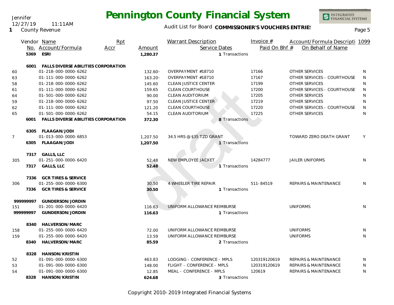Jennifer 12/27/19 11:11AM

**1** County Revenue

### Audit List for Board COMMISSIONER'S VOUCHERS ENTRIES<br>Page 5

|                |           | Vendor Name                                | Rpt  |            | Warrant Description          | Invoice $#$   | Account/Formula Descripti 1099   |              |
|----------------|-----------|--------------------------------------------|------|------------|------------------------------|---------------|----------------------------------|--------------|
|                |           | No. Account/Formula                        | Accr | Amount     | Service Dates                | Paid On Bhf # | On Behalf of Name                |              |
|                | 5369      | <b>ESRI</b>                                |      | 1,280.37   | 1 Transactions               |               |                                  |              |
|                | 6001      | <b>FALLS DIVERSE ABILITIES CORPORATION</b> |      |            |                              |               |                                  |              |
| 60             |           | 01-218-000-0000-6262                       |      | $132.60 -$ | OVERPAYMENT #18710           | 17166         | <b>OTHER SERVICES</b>            | N            |
| 63             |           | 01-111-000-0000-6262                       |      | $163.20 -$ | OVERPAYMENT #18710           | 17167         | OTHER SERVICES - COURTHOUSE      | N            |
| 58             |           | 01-218-000-0000-6262                       |      | 145.60     | <b>CLEAN JUSTICE CENTER</b>  | 17199         | <b>OTHER SERVICES</b>            | N            |
| 61             |           | 01-111-000-0000-6262                       |      | 159.65     | <b>CLEAN COURTHOUSE</b>      | 17200         | OTHER SERVICES - COURTHOUSE      | N            |
| 64             |           | 01-501-000-0000-6262                       |      | 90.00      | <b>CLEAN AUDITORIUM</b>      | 17205         | <b>OTHER SERVICES</b>            | N            |
| 59             |           | 01-218-000-0000-6262                       |      | 97.50      | CLEAN JUSTICE CENTER         | 17219         | OTHER SERVICES                   | $\mathsf{N}$ |
| 62             |           | 01-111-000-0000-6262                       |      | 121.20     | <b>CLEAN COURTHOUSE</b>      | 17220         | OTHER SERVICES - COURTHOUSE      | N            |
| 65             |           | 01-501-000-0000-6262                       |      | 54.15      | CLEAN AUDITORIUM             | 17225         | <b>OTHER SERVICES</b>            | N            |
|                | 6001      | FALLS DIVERSE ABILITIES CORPORATION        |      | 372.30     | 8 Transactions               |               |                                  |              |
|                | 6305      | FLAAGAN/JODI                               |      |            |                              |               |                                  |              |
| $\overline{7}$ |           | 01-013-000-0000-6853                       |      | 1,207.50   | 34.5 HRS @ \$35 TZD GRANT    |               | TOWARD ZERO DEATH GRANT          | Y            |
|                | 6305      | FLAAGAN/JODI                               |      | 1,207.50   | 1 Transactions               |               |                                  |              |
|                |           | 7317 GALLS, LLC                            |      |            |                              |               |                                  |              |
| 305            |           | 01-251-000-0000-6420                       |      | 52.48      | NEW EMPLOYEE JACKET          | 14284777      | <b>JAILER UNIFORMS</b>           | N            |
|                | 7317      | <b>GALLS, LLC</b>                          |      | 52.48      | 1 Transactions               |               |                                  |              |
|                | 7336      | <b>GCR TIRES &amp; SERVICE</b>             |      |            |                              |               |                                  |              |
| 306            |           | 01-255-000-0000-6300                       |      | 30.50      | <b>4 WHEELER TIRE REPAIR</b> | 511-84519     | <b>REPAIRS &amp; MAINTENANCE</b> | N            |
|                | 7336      | <b>GCR TIRES &amp; SERVICE</b>             |      | 30.50      | 1 Transactions               |               |                                  |              |
|                | 99999997  | GUNDERSON/JORDIN                           |      |            |                              |               |                                  |              |
| 151            |           | 01-201-000-0000-6420                       |      | 116.63     | UNIFORM ALLOWANCE REIMBURSE  |               | <b>UNIFORMS</b>                  | N            |
|                | 999999997 | GUNDERSON/JORDIN                           |      | 116.63     | 1 Transactions               |               |                                  |              |
|                |           | 8340 HALVERSON/MARC                        |      |            |                              |               |                                  |              |
| 158            |           | 01-255-000-0000-6420                       |      | 72.00      | UNIFORM ALLOWANCE REIMBURSE  |               | <b>UNIFORMS</b>                  | N            |
| 159            |           | 01-255-000-0000-6420                       |      | 13.59      | UNIFORM ALLOWANCE REIMBURSE  |               | <b>UNIFORMS</b>                  | N            |
|                | 8340      | HALVERSON/MARC                             |      | 85.59      | 2 Transactions               |               |                                  |              |
|                | 8328      | HANSON/KRISTIN                             |      |            |                              |               |                                  |              |
| 52             |           | 01-091-000-0000-6300                       |      | 463.83     | LODGING - CONFERENCE - MPLS  | 120319120619  | <b>REPAIRS &amp; MAINTENANCE</b> | N            |
| 53             |           | 01-091-000-0000-6300                       |      | 148.00     | FLIGHT - CONFERENCE - MPLS   | 120319120619  | <b>REPAIRS &amp; MAINTENANCE</b> | N            |
| 54             |           | 01-091-000-0000-6300                       |      | 12.85      | MEAL - CONFERENCE - MPLS     | 120619        | <b>REPAIRS &amp; MAINTENANCE</b> | N            |
|                |           | 8328 HANSON/KRISTIN                        |      | 624.68     | 3 Transactions               |               |                                  |              |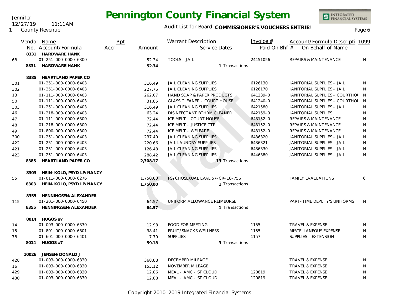INTEGRATED<br>FINANCIAL SYSTEMS

### Audit List for Board COMMISSIONER'S VOUCHERS ENTRIES<br>Page 6

|     |       | Vendor Name                   | Rpt  |          | <b>Warrant Description</b>         | Invoice $#$   | Account/Formula Descripti 1099   |              |
|-----|-------|-------------------------------|------|----------|------------------------------------|---------------|----------------------------------|--------------|
|     |       | No. Account/Formula           | Accr | Amount   | Service Dates                      | Paid On Bhf # | On Behalf of Name                |              |
|     |       | 8331 HARDWARE HANK            |      |          |                                    |               |                                  |              |
| 68  |       | 01-251-000-0000-6300          |      | 52.34    | <b>TOOLS - JAIL</b>                | 24151056      | <b>REPAIRS &amp; MAINTENANCE</b> | N            |
|     |       | 8331 HARDWARE HANK            |      | 52.34    | 1 Transactions                     |               |                                  |              |
|     | 8385  | <b>HEARTLAND PAPER CO</b>     |      |          |                                    |               |                                  |              |
| 301 |       | 01-251-000-0000-6403          |      | 316.49   | <b>JAIL CLEANING SUPPLIES</b>      | 6126130       | JANITORIAL SUPPLIES - JAIL       | N            |
| 302 |       | 01-251-000-0000-6403          |      | 227.75   | JAIL CLEANING SUPPLIES             | 6126170       | JANITORIAL SUPPLIES - JAIL       | N            |
| 13  |       | 01-111-000-0000-6403          |      | 262.07   | HAND SOAP & PAPER PRODUCTS         | 641239-0      | JANITORIAL SUPPLIES - COURTHOL N |              |
| 50  |       | 01-111-000-0000-6403          |      | 31.85    | <b>GLASS CLEANER - COURT HOUSE</b> | 641240-0      | JANITORIAL SUPPLIES - COURTHOL N |              |
| 303 |       | 01-251-000-0000-6403          |      | 316.49   | JAIL CLEANING SUPPLIES             | 6421580       | JANITORIAL SUPPLIES - JAIL       | N            |
| 46  |       | 01-218-000-0000-6403          |      | 63.24    | DISINFECTANT BTHRM CLEANER         | 642159-0      | JANITORIAL SUPPLIES              | N            |
| 47  |       | 01-111-000-0000-6300          |      | 72.44    | ICE MELT - COURT HOUSE             | 643152-0      | <b>REPAIRS &amp; MAINTENANCE</b> | $\mathsf{N}$ |
| 48  |       | 01-218-000-0000-6300          |      | 72.44    | ICE MELT - JUSTICE CTR             | 643152-0      | <b>REPAIRS &amp; MAINTENANCE</b> | N            |
| 49  |       | 01-800-000-0000-6300          |      | 72.44    | ICE MELT - WELFARE                 | 643152-0      | <b>REPAIRS &amp; MAINTENANCE</b> | ${\sf N}$    |
| 300 |       | 01-251-000-0000-6403          |      | 237.40   | <b>JAIL CLEANING SUPPLIES</b>      | 6436320       | JANITORIAL SUPPLIES - JAIL       | N            |
| 422 |       | 01-251-000-0000-6403          |      | 220.66   | <b>JAIL LAUNDRY SUPPLIES</b>       | 6436321       | JANITORIAL SUPPLIES - JAIL       | N            |
| 421 |       | 01-251-000-0000-6403          |      | 126.48   | JAIL CLEANING SUPPLIES             | 6436330       | JANITORIAL SUPPLIES - JAIL       | N            |
| 423 |       | 01-251-000-0000-6403          |      | 288.42   | <b>JAIL CLEANING SUPPLIES</b>      | 6446380       | JANITORIAL SUPPLIES - JAIL       | N            |
|     | 8385  | <b>HEARTLAND PAPER CO</b>     |      | 2,308.17 | 13 Transactions                    |               |                                  |              |
|     |       | 8303 HEIN-KOLO, PSYD LP/NANCY |      |          |                                    |               |                                  |              |
| 55  |       | 01-011-000-0000-6276          |      | 1,750.00 | PSYCHOSEXUAL EVAL 57-CR-18-756     |               | <b>FAMILY EVALUATIONS</b>        | 6            |
|     | 8303  | HEIN-KOLO, PSYD LP/NANCY      |      | 1,750.00 | 1 Transactions                     |               |                                  |              |
|     | 8355  | HENNINGSEN/ALEXANDER          |      |          |                                    |               |                                  |              |
| 115 |       | 01-201-000-0000-6450          |      | 64.57    | UNIFORM ALLOWANCE REIMBURSE        |               | PART-TIME DEPUTY'S UNIFORMS      | N            |
|     | 8355  | HENNINGSEN/ALEXANDER          |      | 64.57    | 1 Transactions                     |               |                                  |              |
|     |       | 8014 HUGOS #7                 |      |          |                                    |               |                                  |              |
| 14  |       | 01-003-000-0000-6330          |      | 12.98    | <b>FOOD FOR MEETING</b>            | 1155          | <b>TRAVEL &amp; EXPENSE</b>      | N            |
| 15  |       | 01-801-000-0000-6801          |      | 38.41    | FRUIT/SNACKS WELLNESS              | 1155          | MISCELLANEOUS EXPENSE            | N            |
| 78  |       | 01-601-000-0000-6401          |      | 7.79     | <b>SUPPLIES</b>                    | 1157          | SUPPLIES - EXTENSION             | N            |
|     |       | 8014 HUGOS #7                 |      | 59.18    | 3 Transactions                     |               |                                  |              |
|     | 10026 | JENSEN/DONALD J               |      |          |                                    |               |                                  |              |
| 428 |       | 01-003-000-0000-6330          |      | 368.88   | DECEMBER MILEAGE                   |               | TRAVEL & EXPENSE                 | N            |
| 16  |       | 01-003-000-0000-6330          |      | 153.12   | <b>NOVEMBER MILEAGE</b>            |               | <b>TRAVEL &amp; EXPENSE</b>      | N            |
| 429 |       | 01-003-000-0000-6330          |      | 12.86    | MEAL - AMC - ST CLOUD              | 120819        | TRAVEL & EXPENSE                 | N            |
| 430 |       | 01-003-000-0000-6330          |      | 12.88    | MEAL - AMC - ST CLOUD              | 120819        | <b>TRAVEL &amp; EXPENSE</b>      | N            |

Copyright 2010-2019 Integrated Financial Systems

#### **1** County Revenue 12/27/19 11:11AM

Jennifer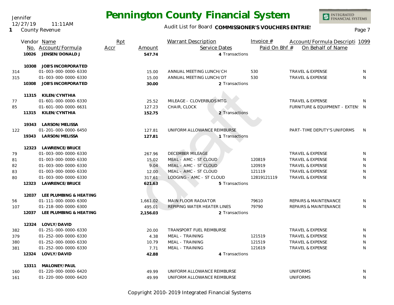Audit List for Board COMMISSIONER'S VOUCHERS ENTRIES<br>Page 7

INTEGRATED<br>FINANCIAL SYSTEMS

|     | 10026 | Vendor Name<br>No. Account/Formula<br>JENSEN/DONALD J | Rpt<br>Accr | Amount<br>547.74 | <b>Warrant Description</b><br>Service Dates<br>4 Transactions | Invoice $#$<br>Paid On Bhf # | Account/Formula Descripti 1099<br>On Behalf of Name |              |
|-----|-------|-------------------------------------------------------|-------------|------------------|---------------------------------------------------------------|------------------------------|-----------------------------------------------------|--------------|
|     |       |                                                       |             |                  |                                                               |                              |                                                     |              |
|     | 10308 | JOB'S INCORPORATED                                    |             |                  |                                                               |                              |                                                     |              |
| 314 |       | 01-003-000-0000-6330                                  |             | 15.00            | ANNUAL MEETING LUNCH/CH                                       | 530                          | <b>TRAVEL &amp; EXPENSE</b>                         | N            |
| 315 |       | 01-003-000-0000-6330                                  |             | 15.00            | ANNUAL MEETING LUNCH/DT                                       | 530                          | <b>TRAVEL &amp; EXPENSE</b>                         | N            |
|     | 10308 | <b>JOB'S INCORPORATED</b>                             |             | 30.00            | 2 Transactions                                                |                              |                                                     |              |
|     |       | 11315 KILEN/CYNTHIA                                   |             |                  |                                                               |                              |                                                     |              |
| 77  |       | 01-601-000-0000-6330                                  |             | 25.52            | MILEAGE - CLOVERBUDS MTG                                      |                              | <b>TRAVEL &amp; EXPENSE</b>                         | N.           |
| 85  |       | 01-601-000-0000-6631                                  |             | 127.23           | CHAIR, CLOCK                                                  |                              | FURNITURE & EQUIPMENT - EXTEN: N                    |              |
|     | 11315 | KILEN/CYNTHIA                                         |             | 152.75           | 2 Transactions                                                |                              |                                                     |              |
|     |       |                                                       |             |                  |                                                               |                              |                                                     |              |
|     |       | 19343 LARSON/MELISSA                                  |             |                  |                                                               |                              |                                                     |              |
| 122 |       | 01-201-000-0000-6450                                  |             | 127.81           | UNIFORM ALLOWANCE REIMBURSE                                   |                              | PART-TIME DEPUTY'S UNIFORMS                         | <sup>N</sup> |
|     |       | 19343 LARSON/MELISSA                                  |             | 127.81           | 1 Transactions                                                |                              |                                                     |              |
|     |       | 12323 LAWRENCE/BRUCE                                  |             |                  |                                                               |                              |                                                     |              |
| 79  |       | 01-003-000-0000-6330                                  |             | 267.96           | DECEMBER MILEAGE                                              |                              | TRAVEL & EXPENSE                                    | N            |
| 81  |       | 01-003-000-0000-6330                                  |             | 15.02            | MEAL - AMC - ST CLOUD                                         | 120819                       | <b>TRAVEL &amp; EXPENSE</b>                         | N            |
| 82  |       | 01-003-000-0000-6330                                  |             | 9.04             | MEAL - AMC - ST CLOUD                                         | 120919                       | <b>TRAVEL &amp; EXPENSE</b>                         | N            |
| 83  |       | 01-003-000-0000-6330                                  |             | 12.00            | MEAL - AMC - ST CLOUD                                         | 121119                       | TRAVEL & EXPENSE                                    | N            |
| 80  |       | 01-003-000-0000-6330                                  |             | 317.61           | LODGING - AMC - ST CLOUD                                      | 12819121119                  | TRAVEL & EXPENSE                                    | N            |
|     | 12323 | LAWRENCE/BRUCE                                        |             | 621.63           | 5 Transactions                                                |                              |                                                     |              |
|     |       | 12037 LEE PLUMBING & HEATING                          |             |                  |                                                               |                              |                                                     |              |
| 56  |       | 01-111-000-0000-6300                                  |             | 1,661.02         | <b>MAIN FLOOR RADIATOR</b>                                    | 79610                        | <b>REPAIRS &amp; MAINTENANCE</b>                    | N            |
| 107 |       | 01-218-000-0000-6300                                  |             | 495.01           | REPIPING WATER HEATER LINES                                   | 79790                        | REPAIRS & MAINTENANCE                               | N            |
|     | 12037 | LEE PLUMBING & HEATING                                |             | 2,156.03         | 2 Transactions                                                |                              |                                                     |              |
|     |       | 12324 LOVLY/DAVID                                     |             |                  |                                                               |                              |                                                     |              |
| 382 |       | 01-251-000-0000-6330                                  |             | 20.00            | TRANSPORT FUEL REIMBURSE                                      |                              | <b>TRAVEL &amp; EXPENSE</b>                         | N            |
| 379 |       | 01-252-000-0000-6330                                  |             | 4.38             | MEAL - TRAINING                                               | 121519                       | TRAVEL & EXPENSE                                    | N            |
| 380 |       | 01-252-000-0000-6330                                  |             | 10.79            | MEAL - TRAINING                                               | 121519                       | TRAVEL & EXPENSE                                    | N            |
| 381 |       | 01-252-000-0000-6330                                  |             | 7.71             | MEAL - TRAINING                                               | 121619                       | TRAVEL & EXPENSE                                    | N            |
|     | 12324 | LOVLY/DAVID                                           |             | 42.88            | 4 Transactions                                                |                              |                                                     |              |
|     | 13311 | MALONEY/PAUL                                          |             |                  |                                                               |                              |                                                     |              |
| 160 |       | 01-220-000-0000-6420                                  |             | 49.99            | UNIFORM ALLOWANCE REIMBURSE                                   |                              | <b>UNIFORMS</b>                                     | N            |
| 161 |       | 01-220-000-0000-6420                                  |             | 49.99            | UNIFORM ALLOWANCE REIMBURSE                                   |                              | <b>UNIFORMS</b>                                     | N            |
|     |       |                                                       |             |                  |                                                               |                              |                                                     |              |

Copyright 2010-2019 Integrated Financial Systems

#### Jennifer 12/27/19 11:11AM

**1** County Revenue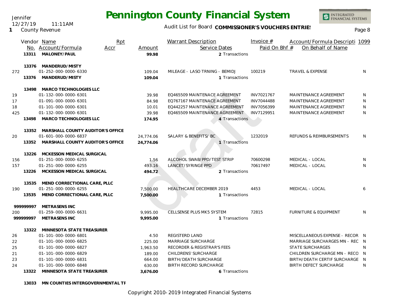Jennifer 12/27/19 11:11AM

### **1** County Revenue

## **Pennington County Financial System**

Audit List for Board COMMISSIONER'S VOUCHERS ENTRIES<br>Page 8

INTEGRATED<br>FINANCIAL SYSTEMS

|     |           | Vendor Name                      | Rpt  |           | <b>Warrant Description</b>             | Invoice $#$   | Account/Formula Descripti 1099   |              |
|-----|-----------|----------------------------------|------|-----------|----------------------------------------|---------------|----------------------------------|--------------|
|     |           | No. Account/Formula              | Accr | Amount    | Service Dates                          | Paid On Bhf # | On Behalf of Name                |              |
|     | 13311     | MALONEY/PAUL                     |      | 99.98     | 2 Transactions                         |               |                                  |              |
|     | 13376     | MANDERUD/MISTY                   |      |           |                                        |               |                                  |              |
| 272 |           | 01-252-000-0000-6330             |      | 109.04    | MILEAGE - LASO TRNING - BEMIDJ         | 100219        | <b>TRAVEL &amp; EXPENSE</b>      | N            |
|     | 13376     | MANDERUD/MISTY                   |      | 109.04    | 1 Transactions                         |               |                                  |              |
|     | 13498     | MARCO TECHNOLOGIES LLC           |      |           |                                        |               |                                  |              |
| 19  |           | 01-132-000-0000-6301             |      | 39.98     | EQ465509 MAINTENACE AGREEMENT          | INV7021767    | MAINTENANCE AGREEMENT            | N            |
| 17  |           | 01-091-000-0000-6301             |      | 84.98     | EQ767167 MAINTENACE AGREEMENT          | INV7044488    | MAINTENANCE AGREEMENT            | N            |
| 18  |           | 01-101-000-0000-6301             |      | 10.01     | EQ442257 MAINTENANCE AGREEMENT         | INV7056399    | MAINTENANCE AGREEMENT            | N            |
| 425 |           | 01-132-000-0000-6301             |      | 39.98     | EQ465509 MAINTENANCE AGREEMENT         | INV7129951    | MAINTENANCE AGREEMENT            | N            |
|     | 13498     | MARCO TECHNOLOGIES LLC           |      | 174.95    | 4 Transactions                         |               |                                  |              |
|     | 13352     | MARSHALL COUNTY AUDITOR'S OFFICE |      |           |                                        |               |                                  |              |
| 20  |           | 01-601-000-0000-6837             |      | 24,774.06 | SALARY & BENEFITS/BC                   | 1232019       | REFUNDS & REIMBURSEMENTS         | N            |
|     | 13352     | MARSHALL COUNTY AUDITOR'S OFFICE |      | 24,774.06 | 1 Transactions                         |               |                                  |              |
|     | 13226     | MCKESSON MEDICAL SURGICAL        |      |           |                                        |               |                                  |              |
| 156 |           | 01-251-000-0000-6255             |      | 1.56      | ALCOHOL SWAB/PPD/TEST STRIP            | 70600298      | MEDICAL - LOCAL                  | N            |
| 157 |           | 01-251-000-0000-6255             |      | 493.16    | LANCET/SYRINGE PPD                     | 70617497      | MEDICAL - LOCAL                  | N            |
|     | 13226     | MCKESSON MEDICAL SURGICAL        |      | 494.72    | 2 Transactions                         |               |                                  |              |
|     | 13535     | MEND CORRECTIONAL CARE, PLLC     |      |           |                                        |               |                                  |              |
| 190 |           | 01-251-000-0000-6255             |      | 7,500.00  | HEALTHCARE DECEMBER 2019               | 4453          | MEDICAL - LOCAL                  | 6            |
|     | 13535     | MEND CORRECTIONAL CARE, PLLC     |      | 7,500.00  | 1 Transactions                         |               |                                  |              |
|     | 999999997 | METRASENS INC                    |      |           |                                        |               |                                  |              |
| 200 |           | 01-259-000-0000-6631             |      | 9.995.00  | CELLSENSE PLUS MK5 SYSTEM              | 72815         | <b>FURNITURE &amp; EQUIPMENT</b> | $\mathsf{N}$ |
|     | 99999997  | METRASENS INC                    |      | 9.995.00  | 1 Transactions                         |               |                                  |              |
|     |           | 13322 MINNESOTA STATE TREASURER  |      |           |                                        |               |                                  |              |
| 26  |           | 01-101-000-0000-6801             |      | 4.50      | REGISTERD LAND                         |               | MISCELLANEOUS EXPENSE - RECOR N  |              |
| 22  |           | 01-101-000-0000-6825             |      | 225.00    | MARRIAGE SURCHARGE                     |               | MARRIAGE SURCHARGES MN - REC N   |              |
| 25  |           | 01-101-000-0000-6827             |      | 1,963.50  | <b>RECORDER &amp; REGISTRAR'S FEES</b> |               | <b>STATE SURCHARGES</b>          | N            |
| 21  |           | 01-101-000-0000-6829             |      | 189.00    | <b>CHILDRENS' SURCHARGE</b>            |               | CHILDREN SURCHARGE MN - RECO N   |              |
| 23  |           | 01-101-000-0000-6831             |      | 664.00    | <b>BIRTH/DEATH SURCHARGE</b>           |               | BIRTH/DEATH CERTIF SURCHARGE N   |              |
| 24  |           | 01-101-000-0000-6848             |      | 630.00    | <b>BIRTH RECORD SURCHARGE</b>          |               | <b>BIRTH DEFECT SURCHARGE</b>    | N            |
|     | 13322     | MINNESOTA STATE TREASURER        |      | 3,676.00  | 6 Transactions                         |               |                                  |              |

13033 MN COUNTIES INTERGOVERNMENTAL TF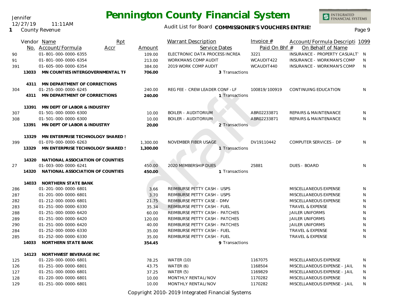INTEGRATED<br>FINANCIAL SYSTEMS

### Audit List for Board COMMISSIONER'S VOUCHERS ENTRIES<br>Page 9

|     |       | Vendor Name                       | Rpt  |          | <b>Warrant Description</b>     | Invoice $#$   | Account/Formula Descripti 1099    |   |
|-----|-------|-----------------------------------|------|----------|--------------------------------|---------------|-----------------------------------|---|
|     |       | No. Account/Formula               | Accr | Amount   | Service Dates                  | Paid On Bhf # | On Behalf of Name                 |   |
| 90  |       | 01-801-000-0000-6355              |      | 109.00   | ELECTRONIC DATA PROCESS INCREA | 3221          | INSURANCE - PROPERTY CASUALT' N   |   |
| 91  |       | 01-801-000-0000-6354              |      | 213.00   | <b>WORKMANS COMP AUDIT</b>     | WCAUDIT422    | <b>INSURANCE - WORKMAN'S COMP</b> | N |
| 391 |       | 01-605-000-0000-6354              |      | 384.00   | 2019 WORK COMP AUDIT           | WCAUDIT440    | INSURANCE - WORKMAN'S COMP        | N |
|     | 13033 | MN COUNTIES INTERGOVERNMENTAL TF  |      | 706.00   | 3 Transactions                 |               |                                   |   |
|     | 4311  | MN DEPARTMENT OF CORRECTIONS      |      |          |                                |               |                                   |   |
| 304 |       | 01-255-000-0000-6245              |      | 240.00   | REG FEE - CREW LEADER CONF -LF | 100819/100919 | CONTINUING EDUCATION              | N |
|     | 4311  | MN DEPARTMENT OF CORRECTIONS      |      | 240.00   | 1 Transactions                 |               |                                   |   |
|     | 13391 | MN DEPT OF LABOR & INDUSTRY       |      |          |                                |               |                                   |   |
| 307 |       | 01-501-000-0000-6300              |      | 10.00    | <b>BOILER - AUDITORIUM</b>     | ABR02233871   | <b>REPAIRS &amp; MAINTENANCE</b>  | N |
| 308 |       | 01-501-000-0000-6300              |      | 10.00    | <b>BOILER - AUDITORIUM</b>     | ABR02233871   | <b>REPAIRS &amp; MAINTENANCE</b>  | N |
|     | 13391 | MN DEPT OF LABOR & INDUSTRY       |      | 20.00    | 2 Transactions                 |               |                                   |   |
|     | 13329 | MN ENTERPRISE TECHNOLOGY SHARED ! |      |          |                                |               |                                   |   |
| 399 |       | 01-070-000-0000-6263              |      | 1,300.00 | NOVEMBER FIBER USAGE           | DV19110442    | COMPUTER SERVICES - DP            | N |
|     | 13329 | MN ENTERPRISE TECHNOLOGY SHARED ! |      | 1,300.00 | 1 Transactions                 |               |                                   |   |
|     | 14320 | NATIONAL ASSOCIATION OF COUNTIES  |      |          |                                |               |                                   |   |
| 27  |       | 01-003-000-0000-6241              |      | 450.00   | 2020 MEMBERSHIP DUES           | 25881         | <b>DUES - BOARD</b>               | N |
|     | 14320 | NATIONAL ASSOCIATION OF COUNTIES  |      | 450.00   | 1 Transactions                 |               |                                   |   |
|     | 14033 | NORTHERN STATE BANK               |      |          |                                |               |                                   |   |
| 286 |       | 01-201-000-0000-6801              |      | 3.66     | REIMBURSE PETTY CASH - USPS    |               | MISCELLANEOUS EXPENSE             | N |
| 287 |       | 01-201-000-0000-6801              |      | 3.70     | REIMBURSE PETTY CASH - USPS    |               | MISCELLANEOUS EXPENSE             | N |
| 282 |       | 01-212-000-0000-6801              |      | 21.75    | REIMBURSE PETTY CASE - DMV     |               | MISCELLANEOUS EXPENSE             | N |
| 283 |       | 01-251-000-0000-6330              |      | 35.34    | REIMBURSE PETTY CASH - FUEL    |               | TRAVEL & EXPENSE                  | N |
| 288 |       | 01-251-000-0000-6420              |      | 60.00    | REIMBURSE PETTY CASH - PATCHES |               | <b>JAILER UNIFORMS</b>            | N |
| 289 |       | 01-251-000-0000-6420              |      | 120.00   | REIMBURSE PETTY CASH - PATCHES |               | <b>JAILER UNIFORMS</b>            | N |
| 290 |       | 01-251-000-0000-6420              |      | 40.00    | REIMBURSE PETTY CASH - PATCHES |               | <b>JAILER UNIFORMS</b>            | N |
| 284 |       | 01-252-000-0000-6330              |      | 35.00    | REIMBURSE PETTY CASH - FUEL    |               | TRAVEL & EXPENSE                  | N |
| 285 |       | 01-252-000-0000-6330              |      | 35.00    | REIMBURSE PETTY CASH - FUEL    |               | TRAVEL & EXPENSE                  | N |
|     | 14033 | NORTHERN STATE BANK               |      | 354.45   | 9 Transactions                 |               |                                   |   |
|     | 14123 | NORTHWEST BEVERAGE INC            |      |          |                                |               |                                   |   |
| 125 |       | 01-220-000-0000-6801              |      | 78.25    | WATER (10)                     | 1167075       | MISCELLANEOUS EXPENSE             | N |
| 126 |       | 01-251-000-0000-6801              |      | 43.75    | WATER (6)                      | 1168504       | MISCELLANEOUS EXPENSE - JAIL      | N |
| 127 |       | 01-251-000-0000-6801              |      | 37.25    | WATER (5)                      | 1169829       | MISCELLANEOUS EXPENSE - JAIL      | N |
| 128 |       | 01-220-000-0000-6801              |      | 10.00    | MONTHLY RENTAL/NOV             | 1170282       | MISCELLANEOUS EXPENSE             | N |
| 129 |       | 01-251-000-0000-6801              |      | 10.00    | MONTHLY RENTAL/NOV             | 1170282       | MISCELLANEOUS EXPENSE - JAIL      | N |

Copyright 2010-2019 Integrated Financial Systems

#### Jennifer 12/27/19 11:11AM

**1** County Revenue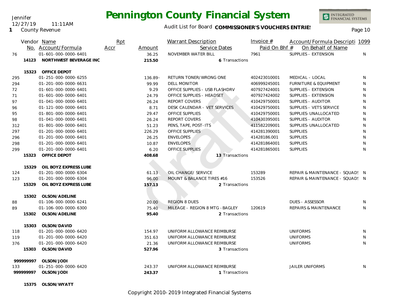Jennifer 12/27/19 11:11AM

**1** County Revenue

### Audit List for Board COMMISSIONER'S VOUCHERS ENTRIES<br>Page 10

|     |           | Vendor Name<br>No. Account/Formula | Rpt<br>Accr | Amount     | <b>Warrant Description</b><br>Service Dates | Invoice $#$<br>Paid On Bhf # | Account/Formula Descripti 1099<br>On Behalf of Name |    |
|-----|-----------|------------------------------------|-------------|------------|---------------------------------------------|------------------------------|-----------------------------------------------------|----|
| 76  |           | 01-601-000-0000-6401               |             | 36.25      | NOVEMBER WATER BILL                         | 7961                         | SUPPLIES - EXTENSION                                | N. |
|     | 14123     | NORTHWEST BEVERAGE INC             |             | 215.50     | 6 Transactions                              |                              |                                                     |    |
|     |           |                                    |             |            |                                             |                              |                                                     |    |
|     | 15323     | <b>OFFICE DEPOT</b>                |             |            |                                             |                              |                                                     |    |
| 295 |           | 01-251-000-0000-6255               |             | $136.89 -$ | RETURN TONER/WRONG ONE                      | 402423010001                 | MEDICAL - LOCAL                                     | N  |
| 294 |           | 01-201-000-0000-6631               |             | 99.99      | <b>DELL MONITOR</b>                         | 406999245001                 | <b>FURNITURE &amp; EQUIPMENT</b>                    | N  |
| 72  |           | 01-601-000-0000-6401               |             | 9.29       | OFFICE SUPPLIES - USB FLASHDRV              | 407927424001                 | SUPPLIES - EXTENSION                                | N  |
| 71  |           | 01-601-000-0000-6401               |             | 24.79      | OFFICE SUPPLIES - HEADSET                   | 407927424002                 | SUPPLIES - EXTENSION                                | N  |
| 97  |           | 01-041-000-0000-6401               |             | 26.24      | REPORT COVERS                               | 410429750001                 | SUPPLIES - AUDITOR                                  | N  |
| 96  |           | 01-121-000-0000-6401               |             | 8.71       | DESK CALENDAR - VET SERVICES                | 410429750001                 | SUPPLIES - VETS SERVICE                             | N  |
| 95  |           | 01-801-000-0000-6401               |             | 29.47      | OFFICE SUPPLIES                             | 410429750001                 | SUPPLIES-UNALLOCATED                                | N  |
| 98  |           | 01-041-000-0000-6401               |             | 26.24      | <b>REPORT COVERS</b>                        | 410430395001                 | SUPPLIES - AUDITOR                                  | N  |
| 312 |           | 01-801-000-0000-6401               |             | 51.23      | PENS, TAPE, POST-ITS                        | 411582209001                 | SUPPLIES-UNALLOCATED                                | N  |
| 297 |           | 01-201-000-0000-6401               |             | 226.29     | <b>OFFICE SUPPLIES</b>                      | 414281390001                 | <b>SUPPLIES</b>                                     | N  |
| 296 |           | 01-201-000-0000-6401               |             | 26.25      | <b>ENVELOPES</b>                            | 41428186.001                 | <b>SUPPLIES</b>                                     | N  |
| 298 |           | 01-201-000-0000-6401               |             | 10.87      | <b>ENVELOPES</b>                            | 414281864001                 | <b>SUPPLIES</b>                                     | N  |
| 299 |           | 01-201-000-0000-6401               |             | 6.20       | <b>OFFICE SUPPLIES</b>                      | 414281865001                 | <b>SUPPLIES</b>                                     | N  |
|     | 15323     | OFFICE DEPOT                       |             | 408.68     | 13 Transactions                             |                              |                                                     |    |
|     |           |                                    |             |            |                                             |                              |                                                     |    |
|     | 15329     | OIL BOYZ EXPRESS LUBE              |             |            |                                             |                              |                                                     |    |
| 124 |           | 01-201-000-0000-6304               |             | 61.13      | OIL CHANGE/ SERVICE                         | 153289                       | REPAIR & MAINTENANCE - SQUAD: N                     |    |
| 123 |           | 01-201-000-0000-6304               |             | 96.00      | MOUNT & BALANCE TIRES #16                   | 153526                       | REPAIR & MAINTENANCE - SQUAD: N                     |    |
|     | 15329     | OIL BOYZ EXPRESS LUBE              |             | 157.13     | 2 Transactions                              |                              |                                                     |    |
|     |           | 15302 OLSON/ADELINE                |             |            |                                             |                              |                                                     |    |
| 88  |           | 01-106-000-0000-6241               |             | 20.00      | <b>REGION 8 DUES</b>                        |                              | <b>DUES - ASSESSOR</b>                              | N  |
| 89  |           | 01-106-000-0000-6300               |             | 75.40      | MILEAGE - REGION 8 MTG - BAGLEY             | 120619                       | REPAIRS & MAINTENANCE                               | N. |
|     | 15302     | OLSON/ADELINE                      |             | 95.40      | 2 Transactions                              |                              |                                                     |    |
|     |           |                                    |             |            |                                             |                              |                                                     |    |
|     | 15303     | OLSON/DAVID                        |             |            |                                             |                              |                                                     |    |
| 118 |           | 01-201-000-0000-6420               |             | 154.97     | UNIFORM ALLOWANCE REIMBURSE                 |                              | <b>UNIFORMS</b>                                     | N  |
| 119 |           | 01-201-000-0000-6420               |             | 351.63     | UNIFORM ALLOWANCE REIMBURSE                 |                              | <b>UNIFORMS</b>                                     | N  |
| 376 |           | 01-201-000-0000-6420               |             | 21.36      | UNIFORM ALLOWANCE REIMBURSE                 |                              | <b>UNIFORMS</b>                                     | N  |
|     | 15303     | OLSON/DAVID                        |             | 527.96     | 3 Transactions                              |                              |                                                     |    |
|     |           |                                    |             |            |                                             |                              |                                                     |    |
|     | 999999997 | OLSON/JODI                         |             |            |                                             |                              |                                                     |    |
| 133 |           | 01-251-000-0000-6420               |             | 243.37     | UNIFORM ALLOWANCE REIMBURSE                 |                              | <b>JAILER UNIFORMS</b>                              | N  |
|     | 99999997  | OLSON/JODI                         |             | 243.37     | 1 Transactions                              |                              |                                                     |    |
|     |           |                                    |             |            |                                             |                              |                                                     |    |

**15375 OLSON/WYATT**

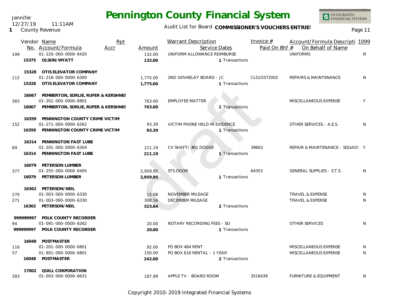Jennifer 12/27/19 11:11AM

#### **1** County Revenue

## **Pennington County Financial System**

Audit List for Board COMMISSIONER'S VOUCHERS ENTRIES<br>Page 11

|     |           | Vendor Name                                                  | Rpt  |                      | <b>Warrant Description</b>                   |                | Invoice $#$   | Account/Formula Descripti 1099       |    |
|-----|-----------|--------------------------------------------------------------|------|----------------------|----------------------------------------------|----------------|---------------|--------------------------------------|----|
| 199 |           | No. Account/Formula<br>01-220-000-0000-6420                  | Accr | Amount<br>132.00     | Service Dates<br>UNIFORM ALLOWANCE REIMBURSE |                | Paid On Bhf # | On Behalf of Name<br><b>UNIFORMS</b> | N  |
|     | 15375     | OLSON/WYATT                                                  |      | 132.00               |                                              | 1 Transactions |               |                                      |    |
|     | 15328     | OTIS ELEVATOR COMPANY                                        |      |                      |                                              |                |               |                                      |    |
| 112 | 15328     | 01-218-000-0000-6300<br>OTIS ELEVATOR COMPANY                |      | 1,775.00<br>1,775.00 | 2ND 50% RELAY BOARD - JC                     | 1 Transactions | CLG15572002   | REPAIRS & MAINTENANCE                | N  |
|     |           | 16067 PEMBERTON, SORLIE, RUFER & KERSHNEI                    |      |                      |                                              |                |               |                                      |    |
| 383 |           | 01-201-000-0000-6801                                         |      | 763.00               | <b>EMPLOYEE MATTER</b>                       |                |               | MISCELLANEOUS EXPENSE                | Y  |
|     | 16067     | PEMBERTON, SORLIE, RUFER & KERSHNEI                          |      | 763.00               |                                              | 1 Transactions |               |                                      |    |
|     |           | 16359 PENNINGTON COUNTY CRIME VICTIM<br>01-271-000-0000-6262 |      | 93.39                | VICTIM PHONE HELD IN EVIDENCE                |                |               | OTHER SERVICES - A.E.S.              | N  |
| 152 |           | 16359 PENNINGTON COUNTY CRIME VICTIM                         |      | 93.39                |                                              | 1 Transactions |               |                                      |    |
|     |           | 16314 PENNINGTON FAST LUBE                                   |      |                      |                                              |                |               |                                      |    |
| 69  |           | 01-201-000-0000-6304                                         |      | 211.19               | CV SHAFT/ #01 DODGE                          |                | 39663         | REPAIR & MAINTENANCE - SQUAD! Y      |    |
|     | 16314     | PENNINGTON FAST LUBE                                         |      | 211.19               |                                              | 1 Transactions |               |                                      |    |
|     |           | 16079 PETERSON LUMBER                                        |      |                      |                                              |                |               |                                      |    |
| 377 |           | 01-255-000-0000-6405                                         |      | 2,959.95             | <b>STS DOOR</b>                              |                | 64353         | <b>GENERAL SUPPLIES - S.T.S.</b>     | N  |
|     |           | 16079 PETERSON LUMBER                                        |      | 2,959.95             |                                              | 1 Transactions |               |                                      |    |
|     |           | 16362 PETERSON/NEIL                                          |      |                      |                                              |                |               |                                      |    |
| 270 |           | 01-003-000-0000-6330                                         |      | 15.08                | NOVEMBER MILEAGE                             |                |               | TRAVEL & EXPENSE                     | N  |
| 271 |           | 01-003-000-0000-6330                                         |      | 308.56               | DECEMBER MILEAGE                             |                |               | <b>TRAVEL &amp; EXPENSE</b>          | N  |
|     |           | 16362 PETERSON/NEIL                                          |      | 323.64               |                                              | 2 Transactions |               |                                      |    |
|     | 999999997 | POLK COUNTY RECORDER                                         |      |                      |                                              |                |               |                                      |    |
| 94  |           | 01-091-000-0000-6262                                         |      | 20.00                | NOTARY RECORDING FEES - SO                   |                |               | <b>OTHER SERVICES</b>                | N. |
|     | 99999997  | POLK COUNTY RECORDER                                         |      | 20.00                |                                              | 1 Transactions |               |                                      |    |
|     |           | 16048 POSTMASTER                                             |      |                      |                                              |                |               |                                      |    |
| 116 |           | 01-201-000-0000-6801                                         |      | 92.00                | PO BOX 484 RENT                              |                |               | MISCELLANEOUS EXPENSE                | N  |
| 57  |           | 01-801-000-0000-6801                                         |      | 150.00               | PO BOX 616 RENTAL - 1 YEAR                   |                |               | MISCELLANEOUS EXPENSE                | N  |
|     |           | 16048 POSTMASTER                                             |      | 242.00               |                                              | 2 Transactions |               |                                      |    |
|     | 17002     | QUILL CORPORATION                                            |      |                      |                                              |                |               |                                      |    |
| 393 |           | 01-003-000-0000-6631                                         |      | 187.99               | APPLE TV - BOARD ROOM                        |                | 3516439       | <b>FURNITURE &amp; EQUIPMENT</b>     | N  |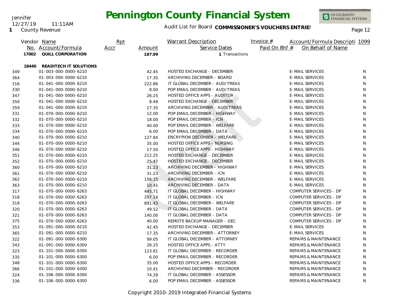Jennifer 12/27/19 11:11AM

**1** County Revenue

### Audit List for Board COMMISSIONER'S VOUCHERS ENTRIES<br>Page 12

|     |       | Vendor Name<br>No. Account/Formula | Rpt<br>Accr | Amount | <b>Warrant Description</b><br>Service Dates | Invoice $#$<br>Account/Formula Descripti 1099<br>Paid On Bhf #<br>On Behalf of Name |    |
|-----|-------|------------------------------------|-------------|--------|---------------------------------------------|-------------------------------------------------------------------------------------|----|
|     | 17002 |                                    |             |        |                                             |                                                                                     |    |
|     |       | QUILL CORPORATION                  |             | 187.99 | 1 Transactions                              |                                                                                     |    |
|     | 18440 | READITECH IT SOLUTIONS             |             |        |                                             |                                                                                     |    |
| 349 |       | 01-003-000-0000-6210               |             | 42.45  | HOSTED EXCHANGE - DECEMBER                  | <b>E-MAIL SERVICES</b>                                                              | N  |
| 364 |       | 01-003-000-0000-6210               |             | 17.35  | ARCHIVING DECEMBER - BOARD                  | <b>E-MAIL SERVICES</b>                                                              | N  |
| 316 |       | 01-041-000-0000-6210               |             | 222.86 | IT GLOBAL DECEMBER - AUD/TREAS              | <b>E-MAIL SERVICES</b>                                                              | N  |
| 330 |       | 01-041-000-0000-6210               |             | 8.00   | POP EMAIL DECEMBER - AUD/TREAS              | <b>E-MAIL SERVICES</b>                                                              | N  |
| 347 |       | 01-041-000-0000-6210               |             | 26.25  | HOSTED OFFICE APPS - AUDITOR                | <b>E-MAIL SERVICES</b>                                                              | N  |
| 350 |       | 01-041-000-0000-6210               |             | 8.49   | <b>HOSTED EXCHANGE - DECEMBER</b>           | <b>E-MAIL SERVICES</b>                                                              | N  |
| 359 |       | 01-041-000-0000-6210               |             | 17.35  | ARCHIVING DECEMBER - AUD/TREAS              | <b>E-MAIL SERVICES</b>                                                              | N  |
| 331 |       | 01-070-000-0000-6210               |             | 12.00  | POP EMAIL DECEMBER - HIGHWAY                | <b>E-MAIL SERVICES</b>                                                              | N  |
| 332 |       | 01-070-000-0000-6210               |             | 18.00  | POP EMAIL DECEMBER - ICN                    | <b>E-MAIL SERVICES</b>                                                              | N  |
| 333 |       | 01-070-000-0000-6210               |             | 40.00  | POP EMAIL DECEMBER - WELFARE                | <b>E-MAIL SERVICES</b>                                                              | N  |
| 334 |       | 01-070-000-0000-6210               |             | 6.00   | POP EMAIL DECEMBER - DATA                   | <b>E-MAIL SERVICES</b>                                                              | N  |
| 340 |       | 01-070-000-0000-6210               |             | 127.84 | ENCRYPION DECEMBER - WELFARE                | <b>E-MAIL SERVICES</b>                                                              | N  |
| 344 |       | 01-070-000-0000-6210               |             | 35.00  | HOSTED OFFICE APPS - NURSING                | <b>E-MAIL SERVICES</b>                                                              | N  |
| 346 |       | 01-070-000-0000-6210               |             | 17.50  | HOSTED OFFICE APPS - HIGHWAY                | <b>E-MAIL SERVICES</b>                                                              | N  |
| 351 |       | 01-070-000-0000-6210               |             | 212.25 | HOSTED EXCHANGE - DECEMBER                  | <b>E-MAIL SERVICES</b>                                                              | N  |
| 352 |       | 01-070-000-0000-6210               |             | 25.47  | <b>HOSTED EXCHANGE - DECEMBER</b>           | <b>E-MAIL SERVICES</b>                                                              | N  |
| 360 |       | 01-070-000-0000-6210               |             | 31.23  | ARCHIVING DECEMBER - HIGHWAY                | <b>E-MAIL SERVICES</b>                                                              | N  |
| 361 |       | 01-070-000-0000-6210               |             | 31.23  | ARCHIVING DECEMBER - ICN                    | <b>E-MAIL SERVICES</b>                                                              | N  |
| 362 |       | 01-070-000-0000-6210               |             | 156.15 | ARCHIVING DECEMBER - WELFARE                | <b>E-MAIL SERVICES</b>                                                              | N. |
| 363 |       | 01-070-000-0000-6210               |             | 10.41  | ARCHIVING DECEMBER - DATA                   | <b>E-MAIL SERVICES</b>                                                              | N  |
| 317 |       | 01-070-000-0000-6263               |             | 445.71 | IT GLOBAL DECEMBER - HIGHWAY                | COMPUTER SERVICES - DP                                                              | N  |
| 318 |       | 01-070-000-0000-6263               |             | 297.14 | IT GLOBAL DECEMBER - ICN                    | COMPUTER SERVICES - DP                                                              | N  |
| 319 |       | 01-070-000-0000-6263               |             | 891.43 | IT GLOBAL DECEMBER - WELFARE                | COMPUTER SERVICES - DP                                                              | N  |
| 320 |       | 01-070-000-0000-6263               |             | 49.52  | IT GLOBAL DECEMBER - DATA                   | COMPUTER SERVICES - DP                                                              | N  |
| 321 |       | 01-070-000-0000-6263               |             | 140.00 | IT GLOBAL DECEMBER - DATA                   | COMPUTER SERVICES - DP                                                              | N  |
| 375 |       | 01-070-000-0000-6263               |             | 40.00  | REMOTE BACKUP MANAGER - DEC                 | COMPUTER SERVICES - DP                                                              | N  |
| 353 |       | 01-091-000-0000-6210               |             | 42.45  | HOSTED EXCHANGE - DECEMBER                  | <b>E-MAIL SERVICES</b>                                                              | N  |
| 365 |       | 01-091-000-0000-6210               |             | 17.35  | ARCHIVING DECEMBER - ATTORNEY               | <b>E-MAIL SERVICES</b>                                                              | N  |
| 322 |       | 01-091-000-0000-6300               |             | 99.05  | IT GLOBAL DECEMBER - ATTORNEY               | <b>REPAIRS &amp; MAINTENANCE</b>                                                    | N  |
| 343 |       | 01-091-000-0000-6300               |             | 26.25  | <b>HOSTED OFFICE APPS - ATTY</b>            | <b>REPAIRS &amp; MAINTENANCE</b>                                                    | N  |
| 323 |       | 01-101-000-0000-6300               |             | 123.81 | IT GLOBAL DECEMBER - RECORDER               | <b>REPAIRS &amp; MAINTENANCE</b>                                                    | N  |
| 335 |       | 01-101-000-0000-6300               |             | 6.00   | POP EMAIL DECEMBER - RECORDER               | <b>REPAIRS &amp; MAINTENANCE</b>                                                    | N  |
| 348 |       | 01-101-000-0000-6300               |             | 35.00  | HOSTED OFFICE APPS - RECORDER               | REPAIRS & MAINTENANCE                                                               | N  |
| 366 |       | 01-101-000-0000-6300               |             | 10.41  | ARCHIVING DECEMBER - RECORDER               | <b>REPAIRS &amp; MAINTENANCE</b>                                                    | N  |
| 324 |       | 01-106-000-0000-6300               |             | 74.29  | IT GLOBAL DECEMBER - ASSESSOR               | REPAIRS & MAINTENANCE                                                               | N  |
| 336 |       | 01-106-000-0000-6300               |             | 6.00   | POP EMAIL DECEMBER - ASSESSOR               | REPAIRS & MAINTENANCE                                                               | N  |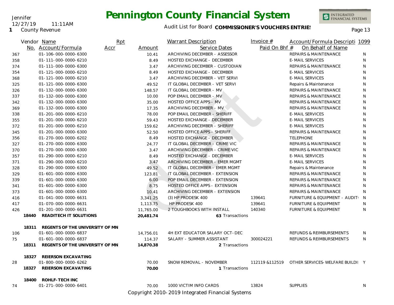#### Jennifer 12/27/19 11:11AM

**1** County Revenue

## **Pennington County Financial System**



INTEGRATED<br>FINANCIAL SYSTEMS

|     |       | Vendor Name                     | Rpt  |           | <b>Warrant Description</b>        | Invoice $#$   | Account/Formula Descripti 1099                  |              |
|-----|-------|---------------------------------|------|-----------|-----------------------------------|---------------|-------------------------------------------------|--------------|
|     |       | No. Account/Formula             | Accr | Amount    | Service Dates                     | Paid On Bhf # | On Behalf of Name                               |              |
| 367 |       | 01-106-000-0000-6300            |      | 10.41     | ARCHIVING DECEMBER - ASSESSOR     |               | REPAIRS & MAINTENANCE                           | N            |
| 358 |       | 01-111-000-0000-6210            |      | 8.49      | HOSTED EXCHANGE - DECEMBER        |               | <b>E-MAIL SERVICES</b>                          | N            |
| 374 |       | 01-111-000-0000-6300            |      | 3.47      | ARCHIVING DECEMBER - CUSTODIAN    |               | REPAIRS & MAINTENANCE                           | N            |
| 354 |       | 01-121-000-0000-6210            |      | 8.49      | HOSTED EXCHANGE - DECEMBER        |               | <b>E-MAIL SERVICES</b>                          | N            |
| 368 |       | 01-121-000-0000-6210            |      | 3.47      | ARCHIVING DECEMBER - VET SERVI    |               | <b>E-MAIL SERVICES</b>                          | N            |
| 325 |       | 01-121-000-0000-6300            |      | 49.52     | IT GLOBAL DECEMBER - VET SERVI    |               | Repairs & Maintenance                           | N            |
| 326 |       | 01-132-000-0000-6300            |      | 148.57    | IT GLOBAL DECEMBER - MV           |               | REPAIRS & MAINTENANCE                           | N            |
| 337 |       | 01-132-000-0000-6300            |      | 10.00     | POP EMAIL DECEMBER - MV           |               | <b>REPAIRS &amp; MAINTENANCE</b>                | N            |
| 342 |       | 01-132-000-0000-6300            |      | 35.00     | <b>HOSTED OFFICE APPS - MV</b>    |               | REPAIRS & MAINTENANCE                           | N            |
| 369 |       | 01-132-000-0000-6300            |      | 17.35     | ARCHIVING DECEMBER - MV           |               | <b>REPAIRS &amp; MAINTENANCE</b>                | $\mathsf{N}$ |
| 338 |       | 01-201-000-0000-6210            |      | 78.00     | POP EMAIL DECEMBER - SHERIFF      |               | <b>E-MAIL SERVICES</b>                          | N            |
| 355 |       | 01-201-000-0000-6210            |      | 59.43     | HOSTED EXCHANGE - DECEMBER        |               | <b>E-MAIL SERVICES</b>                          | N            |
| 372 |       | 01-201-000-0000-6210            |      | 159.62    | ARCHIVING DECEMBER - SHERIFF      |               | <b>E-MAIL SERVICES</b>                          | N            |
| 345 |       | 01-201-000-0000-6300            |      | 52.50     | HOSTED OFFICE APPS - SHERIFF      |               | REPAIRS & MAINTENANCE                           | N            |
| 356 |       | 01-270-000-0000-6202            |      | 8.49      | <b>HOSTED EXCHANGE - DECEMBER</b> |               | <b>TELEPHONE</b>                                | N            |
| 327 |       | 01-270-000-0000-6300            |      | 24.77     | IT GLOBAL DECEMBER - CRIME VIC    |               | REPAIRS & MAINTENANCE                           | N            |
| 370 |       | 01-270-000-0000-6300            |      | 3.47      | ARCHIVING DECEMBER - CRIME VIC    |               | REPAIRS & MAINTENANCE                           | N            |
| 357 |       | 01-290-000-0000-6210            |      | 8.49      | HOSTED EXCHANGE - DECEMBER        |               | <b>E-MAIL SERVICES</b>                          | N            |
| 371 |       | 01-290-000-0000-6210            |      | 3.47      | ARCHIVING DECEMBER - EMER MGMT    |               | <b>E-MAIL SERVICES</b>                          | N            |
| 328 |       | 01-290-000-0000-6300            |      | 49.52     | IT GLOBAL DECEMBER - EMER MGMT    |               | Repairs & Maintenance                           | N            |
| 329 |       | 01-601-000-0000-6300            |      | 123.81    | IT GLOBAL DECEMBER - EXTENSION    |               | <b>REPAIRS &amp; MAINTENANCE</b>                | N            |
| 339 |       | 01-601-000-0000-6300            |      | 6.00      | POP EMAIL DECEMBER - EXTENSION    |               | REPAIRS & MAINTENANCE                           | N            |
| 341 |       | 01-601-000-0000-6300            |      | 8.75      | HOSTED OFFICE APPS - EXTENSION    |               | REPAIRS & MAINTENANCE                           | N            |
| 373 |       | 01-601-000-0000-6300            |      | 10.41     | ARCHIVING DECEMBER - EXTENSION    |               | <b>REPAIRS &amp; MAINTENANCE</b>                | N            |
| 416 |       | 01-041-000-0000-6631            |      | 3,341.25  | (3) HP PRODESK 400                | 139641        | FURNITURE & EQUIPMENT - AUDIT: N                |              |
| 417 |       | 01-070-000-0000-6631            |      | 1,113.75  | HP PRODESK 400                    | 139641        | <b>FURNITURE &amp; EQUIPMENT</b>                | N.           |
| 426 |       | 01-201-000-0000-6631            |      | 11,765.00 | 2 TOUGHBOOKS WITH INSTALL         | 140340        | <b>FURNITURE &amp; EQUIPMENT</b>                | N            |
|     | 18440 | READITECH IT SOLUTIONS          |      | 20,481.74 | 63 Transactions                   |               |                                                 |              |
|     | 18311 | REGENTS OF THE UNIVERSITY OF MN |      |           |                                   |               |                                                 |              |
| 106 |       | 01-601-000-0000-6837            |      | 14,756.01 | 4H EXT EDUCATOR SALARY OCT-DEC    |               | REFUNDS & REIMBURSEMENTS                        | N            |
| 75  |       | 01-601-000-0000-6837            |      | 114.37    | SALARY - SUMMER ASSISTANT         | 300024221     | REFUNDS & REIMBURSEMENTS                        | N            |
|     | 18311 | REGENTS OF THE UNIVERSITY OF MN |      | 14,870.38 | 2 Transactions                    |               |                                                 |              |
|     | 18327 | REIERSON EXCAVATING             |      |           |                                   |               |                                                 |              |
| 28  |       | 01-800-000-0000-6262            |      | 70.00     | SNOW REMOVAL - NOVEMBER           |               | 112119 & 112519 OTHER SERVICES-WELFARE BUILDI Y |              |
|     | 18327 | REIERSON EXCAVATING             |      | 70.00     | 1 Transactions                    |               |                                                 |              |
|     | 18400 | ROHLF-TECH INC                  |      |           |                                   |               |                                                 |              |
| 74  |       | 01-271-000-0000-6401            |      | 70.00     | 1000 VICTIM INFO CARDS            | 13824         | <b>SUPPLIES</b>                                 | N            |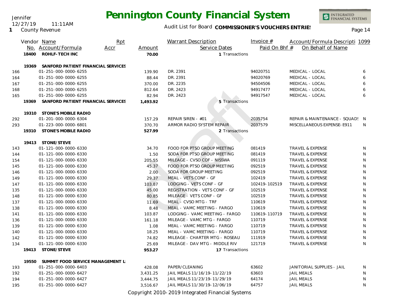Jennifer 12/27/19 11:11AM

**1** County Revenue

### Audit List for Board COMMISSIONER'S VOUCHERS ENTRIES<br>Page 14

INTEGRATED<br>FINANCIAL SYSTEMS

|     |       | Vendor Name                        | Rpt |          | <b>Warrant Description</b>     | Invoice $#$   | Account/Formula Descripti 1099  |    |
|-----|-------|------------------------------------|-----|----------|--------------------------------|---------------|---------------------------------|----|
|     |       | No. Account/Formula<br>Accr        |     | Amount   | Service Dates                  | Paid On Bhf # | On Behalf of Name               |    |
|     | 18400 | <b>ROHLF-TECH INC</b>              |     | 70.00    | 1 Transactions                 |               |                                 |    |
|     | 19369 | SANFORD PATIENT FINANCIAL SERVICES |     |          |                                |               |                                 |    |
| 166 |       | 01-251-000-0000-6255               |     | 139.90   | DR. 2391                       | 94020751      | MEDICAL - LOCAL                 | 6  |
| 164 |       | 01-251-000-0000-6255               |     | 88.44    | DR. 2391                       | 94020769      | MEDICAL - LOCAL                 | 6  |
| 167 |       | 01-251-000-0000-6255               |     | 370.00   | DR. 2235                       | 94504506      | MEDICAL - LOCAL                 | 6  |
| 168 |       | 01-251-000-0000-6255               |     | 812.64   | DR. 2423                       | 94917477      | MEDICAL - LOCAL                 | 6  |
| 165 |       | 01-251-000-0000-6255               |     | 82.94    | DR. 2423                       | 94917547      | MEDICAL - LOCAL                 | 6  |
|     | 19369 | SANFORD PATIENT FINANCIAL SERVICES |     | 1,493.92 | 5 Transactions                 |               |                                 |    |
|     |       |                                    |     |          |                                |               |                                 |    |
|     |       | 19310 STONE'S MOBILE RADIO         |     |          |                                |               |                                 |    |
| 292 |       | 01-201-000-0000-6304               |     | 157.29   | REPAIR SIREN - #01             | 2035754       | REPAIR & MAINTENANCE - SQUAD! N |    |
| 293 |       | 01-223-000-0000-6801               |     | 370.70   | ARMOR RADIO SYSTEM REPAIR      | 2037579       | MISCELLANEOUS EXPENSE-E911      | N  |
|     | 19310 | STONE'S MOBILE RADIO               |     | 527.99   | 2 Transactions                 |               |                                 |    |
|     |       | 19413 STONE/STEVE                  |     |          |                                |               |                                 |    |
| 143 |       | 01-121-000-0000-6330               |     | 34.70    | FOOD FOR PTSO GROUP MEETING    | 081419        | <b>TRAVEL &amp; EXPENSE</b>     | N  |
| 144 |       | 01-121-000-0000-6330               |     | 1.50     | SODA FOR PTSO GROUP MEETING    | 081419        | <b>TRAVEL &amp; EXPENSE</b>     | N  |
| 154 |       | 01-121-000-0000-6330               |     | 205.55   | MILEAGE - CVSO COF - NISSWA    | 091119        | TRAVEL & EXPENSE                | N  |
| 145 |       | 01-121-000-0000-6330               |     | 45.37    | FOOD FOR PTSO GROUP MEETING    | 092519        | TRAVEL & EXPENSE                | N  |
| 146 |       | 01-121-000-0000-6330               |     | 2.00     | SODA FOR GROUP MEETING         | 092519        | TRAVEL & EXPENSE                | N  |
| 149 |       | 01-121-000-0000-6330               |     | 29.37    | MEAL - VETS CONF - GF          | 102419        | <b>TRAVEL &amp; EXPENSE</b>     | N  |
| 147 |       | 01-121-000-0000-6330               |     | 103.87   | LODGING - VETS CONF - GF       | 102419-102519 | TRAVEL & EXPENSE                | N  |
| 135 |       | 01-121-000-0000-6330               |     | 45.00    | REGISTRATION - VETS CONF - GF  | 102519        | TRAVEL & EXPENSE                | N  |
| 148 |       | 01-121-000-0000-6330               |     | 80.85    | MILEAGE - VETS CONF - GF       | 102519        | TRAVEL & EXPENSE                | N  |
| 137 |       | 01-121-000-0000-6330               |     | 11.69    | MEAL - CVSO MTG - TRF          | 110619        | <b>TRAVEL &amp; EXPENSE</b>     | N  |
| 138 |       | 01-121-000-0000-6330               |     | 8.48     | MEAL - VAMC MEETING - FARGO    | 110619        | TRAVEL & EXPENSE                | N  |
| 141 |       | 01-121-000-0000-6330               |     | 103.87   | LODGING - VAMC MEETING - FARGO | 110619-110719 | TRAVEL & EXPENSE                | N  |
| 136 |       | 01-121-000-0000-6330               |     | 161.18   | MILEAGE - VAMC MTG - FARGO     | 110719        | TRAVEL & EXPENSE                | N  |
| 139 |       | 01-121-000-0000-6330               |     | 1.08     | MEAL - VAMC MEETING - FARGO    | 110719        | <b>TRAVEL &amp; EXPENSE</b>     | N  |
| 140 |       | 01-121-000-0000-6330               |     | 18.25    | MEAL - VAMC MEETING - FARGO    | 110719        | TRAVEL & EXPENSE                | N  |
| 142 |       | 01-121-000-0000-6330               |     | 74.82    | MILEAGE - CHARTER MTG - ROSEAU | 111919        | TRAVEL & EXPENSE                | N  |
| 134 |       | 01-121-000-0000-6330               |     | 25.69    | MILEAGE - DAV MTG - MIDDLE RIV | 121719        | <b>TRAVEL &amp; EXPENSE</b>     | N  |
|     | 19413 | STONE/STEVE                        |     | 953.27   | 17 Transactions                |               |                                 |    |
|     | 19550 | SUMMIT FOOD SERVICE MANAGEMENT L   |     |          |                                |               |                                 |    |
| 193 |       | 01-251-000-0000-6403               |     | 428.08   | PAPER/CLEANING                 | 63602         | JANITORIAL SUPPLIES - JAIL      | N. |
| 192 |       | 01-251-000-0000-6427               |     | 3,431.25 | JAIL MEALS 11/16/19-11/22/19   | 63603         | <b>JAIL MEALS</b>               | N  |
| 194 |       | 01-251-000-0000-6427               |     | 3,444.75 | JAIL MEALS 11/23/19-11/29/19   | 64174         | <b>JAIL MEALS</b>               | N  |
| 195 |       | 01-251-000-0000-6427               |     | 3,516.67 | JAIL MEALS 11/30/19-12/06/19   | 64757         | <b>JAIL MEALS</b>               | N  |
|     |       |                                    |     |          |                                |               |                                 |    |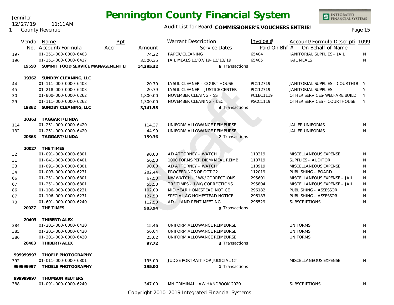Jennifer

**1** County Revenue

12/27/19 11:11AM

INTEGRATED<br>FINANCIAL SYSTEMS

### Audit List for Board COMMISSIONER'S VOUCHERS ENTRIES<br>Page 15

|            |          | Vendor Name<br>No. Account/Formula           | Rpt<br>Accr | Amount            | <b>Warrant Description</b><br>Service Dates    | Invoice $#$<br>Paid On Bhf # | Account/Formula Descripti 1099<br>On Behalf of Name |         |
|------------|----------|----------------------------------------------|-------------|-------------------|------------------------------------------------|------------------------------|-----------------------------------------------------|---------|
| 197<br>196 |          | 01-251-000-0000-6403<br>01-251-000-0000-6427 |             | 74.22<br>3,500.35 | PAPER/CLEANING<br>JAIL MEALS 12/07/19-12/13/19 | 65404<br>65405               | JANITORIAL SUPPLIES - JAIL<br><b>JAIL MEALS</b>     | N.<br>N |
|            | 19550    | SUMMIT FOOD SERVICE MANAGEMENT L             |             | 14,395.32         | 6 Transactions                                 |                              |                                                     |         |
|            |          |                                              |             |                   |                                                |                              |                                                     |         |
|            |          | 19362 SUNDBY CLEANING, LLC                   |             |                   |                                                |                              |                                                     |         |
| 44         |          | 01-111-000-0000-6403                         |             | 20.79             | LYSOL CLEANER - COURT HOUSE                    | PC112719                     | JANITORIAL SUPPLIES - COURTHOL Y                    |         |
| 45         |          | 01-218-000-0000-6403                         |             | 20.79             | LYSOL CLEANER - JUSTICE CENTER                 | PC112719                     | <b>JANITORIAL SUPPLIES</b>                          | Y       |
| 30         |          | 01-800-000-0000-6262                         |             | 1,800.00          | NOVEMBER CLEAING - SS                          | <b>PCLEC1119</b>             | OTHER SERVICES-WELFARE BUILDI Y                     |         |
| 29         |          | 01-111-000-0000-6262                         |             | 1,300.00          | NOVEMBER CLEANING - LEC                        | <b>PSCC1119</b>              | OTHER SERVICES - COURTHOUSE                         | Y       |
|            | 19362    | SUNDBY CLEANING, LLC                         |             | 3,141.58          | 4 Transactions                                 |                              |                                                     |         |
|            | 20363    | TAGGART/LINDA                                |             |                   |                                                |                              |                                                     |         |
| 114        |          | 01-251-000-0000-6420                         |             | 114.37            | UNIFORM ALLOWANCE REIMBURSE                    |                              | <b>JAILER UNIFORMS</b>                              | N       |
| 132        |          | 01-251-000-0000-6420                         |             | 44.99             | UNIFORM ALLOWANCE REIMBURSE                    |                              | <b>JAILER UNIFORMS</b>                              | N       |
|            | 20363    | TAGGART/LINDA                                |             | 159.36            | 2 Transactions                                 |                              |                                                     |         |
|            |          | 20027 THE TIMES                              |             |                   |                                                |                              |                                                     |         |
| 32         |          | 01-091-000-0000-6801                         |             | 90.00             | AD ATTORNEY - WATCH                            | 110219                       | MISCELLANEOUS EXPENSE                               | N       |
| 31         |          | 01-041-000-0000-6401                         |             | 56.50             | 1000 FORMS: PER DIEM/MEAL REIMB                | 110719                       | SUPPLIES - AUDITOR                                  | N       |
| 33         |          | 01-091-000-0000-6801                         |             | 90.00             | AD ATTORNEY - WATCH                            | 110919                       | MISCELLANEOUS EXPENSE                               | N       |
| 34         |          | 01-003-000-0000-6231                         |             | 282.44            | PROCEEDINGS OF OCT 22                          | 112019                       | PUBLISHING - BOARD                                  | N       |
| 66         |          | 01-251-000-0000-6801                         |             | 67.50             | NW WATCH - 1WK/CORRECTIONS                     | 295601                       | MISCELLANEOUS EXPENSE - JAIL                        | N       |
| 67         |          | 01-251-000-0000-6801                         |             | 55.50             | TRF TIMES - 1WK/CORRECTIONS                    | 295804                       | MISCELLANEOUS EXPENSE - JAIL                        | N       |
| 86         |          | 01-106-000-0000-6231                         |             | 102.00            | MID YEAR HOMESTEAD NOTICE                      | 296182                       | PUBLISHING - ASSESSOR                               | N       |
| 87         |          | 01-106-000-0000-6231                         |             | 127.50            | SPECIAL AG HOMESTEAD NOTICE                    | 296183                       | PUBLISHING - ASSESSOR                               | N       |
| 70         |          | 01-601-000-0000-6240                         |             | 112.50            | AD - LAND RENT MEETING                         | 296529                       | <b>SUBSCRIPTIONS</b>                                | N       |
|            | 20027    | THE TIMES                                    |             | 983.94            | 9 Transactions                                 |                              |                                                     |         |
|            | 20403    | THIBERT/ALEX                                 |             |                   |                                                |                              |                                                     |         |
| 384        |          | 01-201-000-0000-6420                         |             | 15.46             | UNIFORM ALLOWANCE REIMBURSE                    |                              | <b>UNIFORMS</b>                                     | N       |
| 385        |          | 01-201-000-0000-6420                         |             | 56.64             | UNIFORM ALLOWANCE REIMBURSE                    |                              | <b>UNIFORMS</b>                                     | N       |
| 386        |          | 01-201-000-0000-6420                         |             | 25.62             | UNIFORM ALLOWANCE REIMBURSE                    |                              | <b>UNIFORMS</b>                                     | N       |
|            | 20403    | THIBERT/ALEX                                 |             | 97.72             | 3 Transactions                                 |                              |                                                     |         |
|            | 99999997 | THOELE PHOTOGRAPHY                           |             |                   |                                                |                              |                                                     |         |
| 392        |          | 01-011-000-0000-6801                         |             | 195.00            | JUDGE PORTRAIT FOR JUDICIAL CT                 |                              | MISCELLANEOUS EXPENSE                               | N       |
|            | 99999997 | THOELE PHOTOGRAPHY                           |             | 195.00            | 1 Transactions                                 |                              |                                                     |         |
|            | 99999997 | <b>THOMSON REUTERS</b>                       |             |                   |                                                |                              |                                                     |         |
| 388        |          | 01-091-000-0000-6240                         |             | 347.00            | MN CRIMINAL LAW HANDBOOK 2020                  |                              | <b>SUBSCRIPTIONS</b>                                | N       |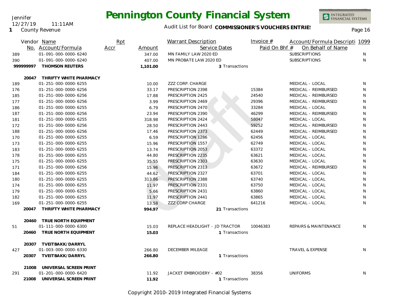

INTEGRATED<br>FINANCIAL SYSTEMS

|     |          | Vendor Name                  | Rpt  |          | Warrant Description            | Invoice $#$   | Account/Formula Descripti 1099   |              |
|-----|----------|------------------------------|------|----------|--------------------------------|---------------|----------------------------------|--------------|
|     |          | No. Account/Formula          | Accr | Amount   | Service Dates                  | Paid On Bhf # | On Behalf of Name                |              |
| 389 |          | 01-091-000-0000-6240         |      | 347.00   | MN FAMILY LAW 2020 ED          |               | <b>SUBSCRIPTIONS</b>             | N            |
| 390 |          | 01-091-000-0000-6240         |      | 407.00   | MN PROBATE LAW 2020 ED         |               | <b>SUBSCRIPTIONS</b>             | N            |
|     | 99999997 | <b>THOMSON REUTERS</b>       |      | 1,101.00 | 3 Transactions                 |               |                                  |              |
|     |          | 20047 THRIFTY WHITE PHARMACY |      |          |                                |               |                                  |              |
| 189 |          | 01-251-000-0000-6255         |      | 10.00    | ZZZ CORP. CHARGE               |               | MEDICAL - LOCAL                  | N            |
| 176 |          | 01-251-000-0000-6256         |      | 33.17    | PRESCRIPTION 2398              | 15384         | MEDICAL - REIMBURSED             | N            |
| 185 |          | 01-251-000-0000-6256         |      | 17.88    | PRESCRIPTION 2425              | 24540         | MEDICAL - REIMBURSED             | N            |
| 177 |          | 01-251-000-0000-6256         |      | 3.99     | PRESCRIPTION 2469              | 29396         | MEDICAL - REIMBURSED             | N            |
| 186 |          | 01-251-000-0000-6255         |      | 6.79     | PRESCRIPTION 2470              | 33284         | MEDICAL - LOCAL                  | N            |
| 187 |          | 01-251-000-0000-6256         |      | 23.94    | PRESCRIPTION 2390              | 46299         | MEDICAL - REIMBURSED             | $\mathsf{N}$ |
| 181 |          | 01-251-000-0000-6255         |      | 318.98   | PRESCRIPTION 2424              | 58047         | MEDICAL - LOCAL                  | N            |
| 172 |          | 01-251-000-0000-6256         |      | 28.50    | PRESCRIPTION 2443              | 59252         | MEDICAL - REIMBURSED             | N            |
| 188 |          | 01-251-000-0000-6256         |      | 17.46    | PRESCRIPTION 2373              | 62449         | MEDICAL - REIMBURSED             | $\mathsf{N}$ |
| 170 |          | 01-251-000-0000-6255         |      | 6.59     | PRESCRIPTION 1286              | 62456         | MEDICAL - LOCAL                  | N            |
| 173 |          | 01-251-000-0000-6255         |      | 15.96    | PRESCRIPTION 1557              | 62749         | MEDICAL - LOCAL                  | N            |
| 183 |          | 01-251-000-0000-6255         |      | 13.74    | PRESCRIPTION 2053              | 63372         | MEDICAL - LOCAL                  | N            |
| 178 |          | 01-251-000-0000-6255         |      | 44.80    | PRESCRIPTION 2235              | 63621         | MEDICAL - LOCAL                  | N            |
| 175 |          | 01-251-000-0000-6255         |      | 35.55    | PRESCRIPTION 2303              | 63630         | MEDICAL - LOCAL                  | N            |
| 171 |          | 01-251-000-0000-6256         |      | 15.96    | PRESCRIPTION 2313              | 63672         | MEDICAL - REIMBURSED             | N            |
| 184 |          | 01-251-000-0000-6255         |      | 44.62    | PRESCRIPTION 2327              | 63701         | MEDICAL - LOCAL                  | N            |
| 180 |          | 01-251-000-0000-6255         |      | 313.86   | PRESCRIPTION 2388              | 63740         | MEDICAL - LOCAL                  | N            |
| 174 |          | 01-251-000-0000-6255         |      | 11.97    | PRESCRIPTION 2331              | 63750         | MEDICAL - LOCAL                  | N            |
| 179 |          | 01-251-000-0000-6255         |      | 5.66     | PRESCRIPTION 2431              | 63860         | MEDICAL - LOCAL                  | N            |
| 182 |          | 01-251-000-0000-6255         |      | 11.97    | PRESCRIPTION 2441              | 63865         | MEDICAL - LOCAL                  | N            |
| 169 |          | 01-251-000-0000-6255         |      | 13.58    | <b>ZZZ CORP CHARGE</b>         | 641216        | MEDICAL - LOCAL                  | N            |
|     | 20047    | THRIFTY WHITE PHARMACY       |      | 994.97   | 21 Transactions                |               |                                  |              |
|     | 20460    | TRUE NORTH EQUIPMENT         |      |          |                                |               |                                  |              |
| 51  |          | 01-111-000-0000-6300         |      | 15.03    | REPLACE HEADLIGHT - JD TRACTOR | 10046383      | <b>REPAIRS &amp; MAINTENANCE</b> | N            |
|     | 20460    | TRUE NORTH EQUIPMENT         |      | 15.03    | 1 Transactions                 |               |                                  |              |
|     |          | 20307 TVEITBAKK/DARRYL       |      |          |                                |               |                                  |              |
| 427 |          | 01-003-000-0000-6330         |      | 266.80   | DECEMBER MILEAGE               |               | TRAVEL & EXPENSE                 | N            |
|     |          | 20307 TVEITBAKK/DARRYL       |      | 266.80   | 1 Transactions                 |               |                                  |              |
|     | 21008    | UNIVERSAL SCREEN PRINT       |      |          |                                |               |                                  |              |
| 291 |          | 01-201-000-0000-6420         |      | 11.92    | JACKET EMBROIDERY - #02        | 38356         | <b>UNIFORMS</b>                  | N            |
|     | 21008    | UNIVERSAL SCREEN PRINT       |      | 11.92    | 1 Transactions                 |               |                                  |              |

Copyright 2010-2019 Integrated Financial Systems

**1** County Revenue 12/27/19 11:11AM

Jennifer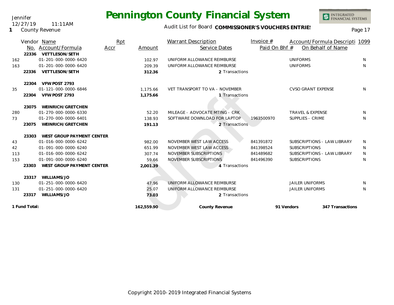### Audit List for Board COMMISSIONER'S VOUCHERS ENTRIES<br>Page 17

|     |               | Vendor Name               | Rpt  |            | <b>Warrant Description</b>     | Invoice $#$   | Account/Formula Descripti 1099 |              |
|-----|---------------|---------------------------|------|------------|--------------------------------|---------------|--------------------------------|--------------|
|     | No.           | Account/Formula           | Accr | Amount     | Service Dates                  | Paid On Bhf # | On Behalf of Name              |              |
|     | 22336         | VETTLESON/SETH            |      |            |                                |               |                                |              |
| 162 |               | 01-201-000-0000-6420      |      | 102.97     | UNIFORM ALLOWANCE REIMBURSE    |               | <b>UNIFORMS</b>                | <sup>N</sup> |
| 163 |               | 01-201-000-0000-6420      |      | 209.39     | UNIFORM ALLOWANCE REIMBURSE    |               | <b>UNIFORMS</b>                | N            |
|     | 22336         | VETTLESON/SETH            |      | 312.36     | 2 Transactions                 |               |                                |              |
|     | 22304         | VFW POST 2793             |      |            |                                |               |                                |              |
| 35  |               | 01-121-000-0000-6846      |      | 1,175.66   | VET TRANSPORT TO VA - NOVEMBER |               | <b>CVSO GRANT EXPENSE</b>      | N            |
|     | 22304         | VFW POST 2793             |      | 1,175.66   | 1 Transactions                 |               |                                |              |
|     | 23075         | WEINRICH/GRETCHEN         |      |            |                                |               |                                |              |
| 280 |               | 01-270-000-0000-6330      |      | 52.20      | MILEAGE - ADVOCATE MTING - CRK |               | <b>TRAVEL &amp; EXPENSE</b>    | N.           |
| 73  |               | 01-270-000-0000-6401      |      | 138.93     | SOFTWARE DOWNLOAD FOR LAPTOP   | 1963500970    | SUPPLIES - CRIME               | N            |
|     | 23075         | WEINRICH/GRETCHEN         |      | 191.13     | 2 Transactions                 |               |                                |              |
|     | 23303         | WEST GROUP PAYMENT CENTER |      |            |                                |               |                                |              |
| 43  |               | 01-016-000-0000-6242      |      | 982.00     | NOVEMBER WEST LAW ACCESS       | 841391872     | SUBSCRIPTIONS - LAW LIBRARY    | N            |
| 42  |               | 01-091-000-0000-6240      |      | 651.99     | NOVEMBER WEST LAW ACCESS       | 841398524     | <b>SUBSCRIPTIONS</b>           | N            |
| 113 |               | 01-016-000-0000-6242      |      | 307.74     | NOVEMBER SUBSCRIPTIONS         | 841489682     | SUBSCRIPTIONS - LAW LIBRARY    | N            |
| 153 |               | 01-091-000-0000-6240      |      | 59.66      | NOVEMBER SUBSCRIPTIONS         | 841496390     | <b>SUBSCRIPTIONS</b>           | N            |
|     | 23303         | WEST GROUP PAYMENT CENTER |      | 2,001.39   | 4 Transactions                 |               |                                |              |
|     | 23317         | WILLIAMS/JO               |      |            |                                |               |                                |              |
| 130 |               | 01-251-000-0000-6420      |      | 47.96      | UNIFORM ALLOWANCE REIMBURSE    |               | <b>JAILER UNIFORMS</b>         | N            |
| 131 |               | 01-251-000-0000-6420      |      | 25.07      | UNIFORM ALLOWANCE REIMBURSE    |               | <b>JAILER UNIFORMS</b>         | N            |
|     | 23317         | WILLIAMS/JO               |      | 73.03      | 2 Transactions                 |               |                                |              |
|     | 1 Fund Total: |                           |      | 162,559.90 | County Revenue                 |               | 91 Vendors<br>347 Transactions |              |
|     |               |                           |      |            |                                |               |                                |              |

Jennifer 12/27/19 11:11AM

#### **1** County Revenue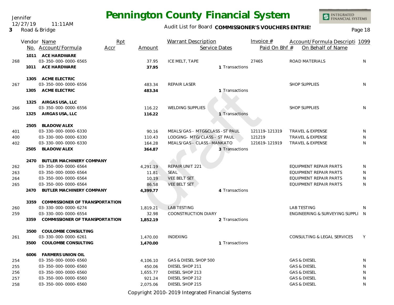### Audit List for Board COMMISSIONER'S VOUCHERS ENTRIES<br>Page 18

|     |      | Vendor Name                    | Rpt      | <b>Warrant Description</b>      | Invoice #     | Account/Formula Descripti 1099   |    |
|-----|------|--------------------------------|----------|---------------------------------|---------------|----------------------------------|----|
|     |      | No. Account/Formula<br>Accr    | Amount   | Service Dates                   | Paid On Bhf # | On Behalf of Name                |    |
|     | 1011 | ACE HARDWARE                   |          |                                 |               |                                  |    |
| 268 |      | 03-350-000-0000-6565           | 37.95    | ICE MELT, TAPE                  | 27465         | ROAD MATERIALS                   | N  |
|     | 1011 | ACE HARDWARE                   | 37.95    | 1 Transactions                  |               |                                  |    |
|     |      | 1305 ACME ELECTRIC             |          |                                 |               |                                  |    |
| 267 |      | 03-350-000-0000-6556           | 483.34   | REPAIR LASER                    |               | <b>SHOP SUPPLIES</b>             | N  |
|     | 1305 | <b>ACME ELECTRIC</b>           | 483.34   | 1 Transactions                  |               |                                  |    |
|     |      | 1325 AIRGAS USA, LLC           |          |                                 |               |                                  |    |
| 266 |      | 03-350-000-0000-6556           | 116.22   | <b>WELDING SUPPLIES</b>         |               | <b>SHOP SUPPLIES</b>             | N  |
|     | 1325 | AIRGAS USA, LLC                | 116.22   | 1 Transactions                  |               |                                  |    |
|     | 2505 | BLADOW/ALEX                    |          |                                 |               |                                  |    |
| 401 |      | 03-330-000-0000-6330           | 90.16    | MEALS/GAS - MTG&CLASS - ST PAUL | 121119-121319 | <b>TRAVEL &amp; EXPENSE</b>      | N  |
| 400 |      | 03-330-000-0000-6330           | 110.43   | LODGING- MTG/CLASS - ST PAUL    | 121219        | <b>TRAVEL &amp; EXPENSE</b>      | N  |
| 402 |      | 03-330-000-0000-6330           | 164.28   | MEALS/GAS - CLASS -MANKATO      | 121619-121919 | <b>TRAVEL &amp; EXPENSE</b>      | N  |
|     | 2505 | BLADOW/ALEX                    | 364.87   | 3 Transactions                  |               |                                  |    |
|     | 2470 | BUTLER MACHINERY COMPANY       |          |                                 |               |                                  |    |
| 262 |      | 03-350-000-0000-6564           | 4,291.19 | <b>REPAIR UNIT 221</b>          |               | EQUIPMENT REPAIR PARTS           | N  |
| 263 |      | 03-350-000-0000-6564           | 11.81    | <b>SEAL</b>                     |               | EQUIPMENT REPAIR PARTS           | N  |
| 264 |      | 03-350-000-0000-6564           | 10.19    | <b>VEE BELT SET</b>             |               | EQUIPMENT REPAIR PARTS           | N  |
| 265 |      | 03-350-000-0000-6564           | 86.58    | VEE BELT SET                    |               | EQUIPMENT REPAIR PARTS           | N  |
|     | 2470 | BUTLER MACHINERY COMPANY       | 4,399.77 | 4 Transactions                  |               |                                  |    |
|     | 3359 | COMMISSIONER OF TRANSPORTATION |          |                                 |               |                                  |    |
| 260 |      | 03-330-000-0000-6274           | 1,819.21 | <b>LAB TESTING</b>              |               | <b>LAB TESTING</b>               | N. |
| 259 |      | 03-330-000-0000-6554           | 32.98    | <b>COONSTRUCTION DIARY</b>      |               | ENGINEERING & SURVEYING SUPPLI N |    |
|     | 3359 | COMMISSIONER OF TRANSPORTATION | 1,852.19 | 2 Transactions                  |               |                                  |    |
|     | 3500 | COULOMBE CONSULTING            |          |                                 |               |                                  |    |
| 261 |      | 03-330-000-0000-6261           | 1,470.00 | <b>INDEXING</b>                 |               | CONSULTING & LEGAL SERVICES      | Y  |
|     | 3500 | COULOMBE CONSULTING            | 1,470.00 | 1 Transactions                  |               |                                  |    |
|     | 6006 | <b>FARMERS UNION OIL</b>       |          |                                 |               |                                  |    |
| 254 |      | 03-350-000-0000-6560           | 4,106.10 | GAS & DIESEL SHOP 500           |               | <b>GAS &amp; DIESEL</b>          | N  |
| 255 |      | 03-350-000-0000-6560           | 450.06   | DIESEL SHOP 211                 |               | <b>GAS &amp; DIESEL</b>          | N  |
| 256 |      | 03-350-000-0000-6560           | 1,655.77 | DIESEL SHOP 213                 |               | <b>GAS &amp; DIESEL</b>          | N  |
| 257 |      | 03-350-000-0000-6560           | 921.24   | DIESEL SHOP 212                 |               | <b>GAS &amp; DIESEL</b>          | N  |
| 258 |      | 03-350-000-0000-6560           | 2,075.06 | DIESEL SHOP 215                 |               | <b>GAS &amp; DIESEL</b>          | N  |

Copyright 2010-2019 Integrated Financial Systems

Jennifer 12/27/19 11:11AM

#### **3** Road & Bridge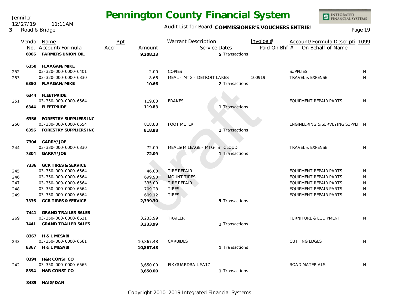Jennifer 12/27/19 11:11AM

### **3** Road & Bridge

## **Pennington County Financial System**

Audit List for Board COMMISSIONER'S VOUCHERS ENTRIES<br>Page 19

INTEGRATED<br>FINANCIAL SYSTEMS

|                                 | 6006         | Vendor Name<br>No. Account/Formula<br><b>FARMERS UNION OIL</b>                                                                                                                     | Rpt<br>Accr | Amount<br>9,208.23                                        | <b>Warrant Description</b><br>Service Dates                                             | 5 Transactions | Invoice $#$<br>Paid On Bhf # | Account/Formula Descripti 1099<br>On Behalf of Name                                                                                          |                       |
|---------------------------------|--------------|------------------------------------------------------------------------------------------------------------------------------------------------------------------------------------|-------------|-----------------------------------------------------------|-----------------------------------------------------------------------------------------|----------------|------------------------------|----------------------------------------------------------------------------------------------------------------------------------------------|-----------------------|
| 252<br>253                      |              | 6350 FLAAGAN/MIKE<br>03-320-000-0000-6401<br>03-320-000-0000-6330<br>6350 FLAAGAN/MIKE                                                                                             |             | 2.00<br>8.66<br>10.66                                     | <b>COPIES</b><br>MEAL - MTG - DETROIT LAKES                                             | 2 Transactions | 100919                       | <b>SUPPLIES</b><br><b>TRAVEL &amp; EXPENSE</b>                                                                                               | N<br>N                |
| 251                             |              | 6344 FLEETPRIDE<br>03-350-000-0000-6564<br>6344 FLEETPRIDE                                                                                                                         |             | 119.83<br>119.83                                          | <b>BRAKES</b>                                                                           | 1 Transactions |                              | EQUIPMENT REPAIR PARTS                                                                                                                       | N                     |
| 250                             |              | 6356 FORESTRY SUPPLIERS INC<br>03-330-000-0000-6554<br>6356 FORESTRY SUPPLIERS INC                                                                                                 |             | 818.88<br>818.88                                          | <b>FOOT METER</b>                                                                       | 1 Transactions |                              | ENGINEERING & SURVEYING SUPPLI N                                                                                                             |                       |
| 244                             | 7304         | 7304 GARRY/JOE<br>03-330-000-0000-6330<br>GARRY/JOE                                                                                                                                |             | 72.09<br>72.09                                            | MEALS/MILEAGE - MTG- ST CLOUD                                                           | 1 Transactions |                              | <b>TRAVEL &amp; EXPENSE</b>                                                                                                                  | N                     |
| 245<br>246<br>247<br>248<br>249 | 7336         | 7336 GCR TIRES & SERVICE<br>03-350-000-0000-6564<br>03-350-000-0000-6564<br>03-350-000-0000-6564<br>03-350-000-0000-6564<br>03-350-000-0000-6564<br><b>GCR TIRES &amp; SERVICE</b> |             | 46.00<br>699.90<br>335.00<br>709.28<br>609.12<br>2,399.30 | <b>TIRE REPAIR</b><br><b>MOUNT TIRES</b><br>TIRE REPAIR<br><b>TIRES</b><br><b>TIRES</b> | 5 Transactions |                              | <b>EQUIPMENT REPAIR PARTS</b><br>EQUIPMENT REPAIR PARTS<br>EQUIPMENT REPAIR PARTS<br><b>EQUIPMENT REPAIR PARTS</b><br>EQUIPMENT REPAIR PARTS | N<br>N<br>N<br>N<br>N |
| 269                             | 7441<br>7441 | <b>GRAND TRAILER SALES</b><br>03-350-000-0000-6631<br><b>GRAND TRAILER SALES</b>                                                                                                   |             | 3,233.99<br>3,233.99                                      | <b>TRAILER</b>                                                                          | 1 Transactions |                              | <b>FURNITURE &amp; EQUIPMENT</b>                                                                                                             | N                     |
| 243                             |              | 8367 H & L MESABI<br>03-350-000-0000-6561<br>8367 H & L MESABI                                                                                                                     |             | 10,867.48<br>10,867.48                                    | CARBIDES                                                                                | 1 Transactions |                              | <b>CUTTING EDGES</b>                                                                                                                         | N                     |
| 242                             |              | 8394 H&R CONST CO<br>03-350-000-0000-6565<br>8394 H&R CONST CO                                                                                                                     |             | 3,650.00<br>3,650.00                                      | FIX GUARDRAIL SA17                                                                      | 1 Transactions |                              | ROAD MATERIALS                                                                                                                               | N                     |

**8489 HAIG/DAN**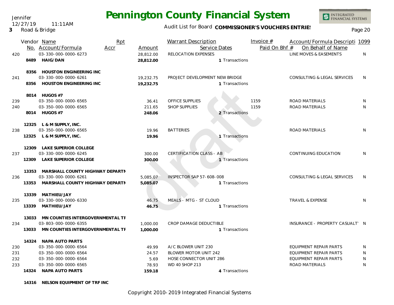Jennifer 12/27/19 11:11AM

### **3** Road & Bridge

## **Pennington County Financial System**

Audit List for Board COMMISSIONER'S VOUCHERS ENTRIES<br>Page 20

|     |       | Vendor Name<br>No. Account/Formula<br>Accr                                           | Rpt | Amount                 | <b>Warrant Description</b><br>Service Dates      |                | Invoice $#$<br>Paid On Bhf # | Account/Formula Descripti 1099<br>On Behalf of Name |   |
|-----|-------|--------------------------------------------------------------------------------------|-----|------------------------|--------------------------------------------------|----------------|------------------------------|-----------------------------------------------------|---|
| 420 | 8489  | 03-330-000-0000-6273<br><b>HAIG/DAN</b>                                              |     | 28,812.00<br>28,812.00 | RELOCATION EXPENSES                              | 1 Transactions |                              | LINE MOVES & EASEMENTS                              | N |
|     |       | 8356 HOUSTON ENGINEERING INC<br>03-330-000-0000-6261<br>8356 HOUSTON ENGINEERING INC |     |                        |                                                  |                |                              |                                                     |   |
| 241 |       |                                                                                      |     | 19,232.75<br>19.232.75 | PROJECT DEVELOPMENT NEW BRIDGE<br>1 Transactions |                |                              | CONSULTING & LEGAL SERVICES                         | N |
|     |       | 8014 HUGOS #7                                                                        |     |                        |                                                  |                |                              |                                                     |   |
| 239 |       | 03-350-000-0000-6565                                                                 |     | 36.41                  | OFFICE SUPPLIES                                  |                | 1159                         | ROAD MATERIALS                                      | N |
| 240 |       | 03-350-000-0000-6565                                                                 |     | 211.65                 | <b>SHOP SUPPLIES</b>                             |                | 1159                         | ROAD MATERIALS                                      | N |
|     |       | 8014 HUGOS #7                                                                        |     | 248.06                 |                                                  | 2 Transactions |                              |                                                     |   |
|     |       | 12325 L & M SUPPLY, INC.                                                             |     |                        |                                                  |                |                              |                                                     |   |
| 238 |       | 03-350-000-0000-6565                                                                 |     | 19.96                  | <b>BATTERIES</b>                                 |                |                              | <b>ROAD MATERIALS</b>                               | N |
|     | 12325 | L & M SUPPLY, INC.                                                                   |     | 19.96                  |                                                  | 1 Transactions |                              |                                                     |   |
| 237 | 12309 | LAKE SUPERIOR COLLEGE                                                                |     |                        |                                                  |                |                              |                                                     |   |
|     |       | 03-330-000-0000-6245                                                                 |     | 300.00                 | <b>CERTIFICATION CLASS - AB</b>                  |                |                              | CONTINUING EDUCATION                                | N |
|     |       | 12309 LAKE SUPERIOR COLLEGE                                                          |     | 300.00                 |                                                  | 1 Transactions |                              |                                                     |   |
|     | 13353 | MARSHALL COUNTY HIGHWAY DEPARTN                                                      |     |                        |                                                  |                |                              |                                                     |   |
| 236 | 13353 | 03-330-000-0000-6261                                                                 |     | 5,085.07               | <b>INSPECTOR SAP 57-608-008</b>                  |                |                              | CONSULTING & LEGAL SERVICES                         | N |
|     |       | MARSHALL COUNTY HIGHWAY DEPARTN                                                      |     | 5.085.07               |                                                  | 1 Transactions |                              |                                                     |   |
| 235 | 13339 | MATHIEU/JAY<br>03-330-000-0000-6330                                                  |     | 46.75                  | MEALS - MTG - ST CLOUD                           |                |                              | <b>TRAVEL &amp; EXPENSE</b>                         | N |
|     | 13339 | MATHIEU/JAY                                                                          |     | 46.75                  |                                                  | 1 Transactions |                              |                                                     |   |
|     |       |                                                                                      |     |                        |                                                  |                |                              |                                                     |   |
|     | 13033 | MN COUNTIES INTERGOVERNMENTAL TF                                                     |     |                        |                                                  |                |                              |                                                     |   |
| 234 |       | 03-803-000-0000-6355                                                                 |     | 1,000.00               | <b>CROP DAMAGE DEDUCTIBLE</b>                    |                |                              | INSURANCE - PROPERTY CASUALT' N                     |   |
|     | 13033 | MN COUNTIES INTERGOVERNMENTAL TF                                                     |     | 1,000.00               |                                                  | 1 Transactions |                              |                                                     |   |
|     |       | 14324 NAPA AUTO PARTS                                                                |     |                        |                                                  |                |                              |                                                     |   |
| 230 |       | 03-350-000-0000-6564                                                                 |     | 49.99                  | A/C BLOWER UNIT 230                              |                |                              | <b>EQUIPMENT REPAIR PARTS</b>                       | N |
| 231 |       | 03-350-000-0000-6564                                                                 |     | 24.57                  | BLOWER MOTOR UNIT 242                            |                |                              | <b>EQUIPMENT REPAIR PARTS</b>                       | N |
| 232 |       | 03-350-000-0000-6564                                                                 |     | 5.69                   | HOSE CONNECTOR UNIT 286                          |                |                              | EQUIPMENT REPAIR PARTS                              | N |
| 233 |       | 03-350-000-0000-6565                                                                 |     | 78.93                  | WD 40 SHOP 213                                   |                |                              | ROAD MATERIALS                                      | N |
|     | 14324 | NAPA AUTO PARTS                                                                      |     | 159.18                 |                                                  | 4 Transactions |                              |                                                     |   |

**14316 NELSON EQUIPMENT OF TRF INC**

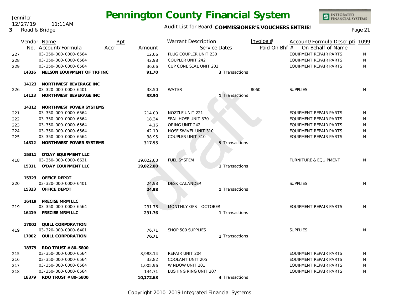Audit List for Board COMMISSIONER'S VOUCHERS ENTRIES<br>
Page 21

Jennifer 12/27/19 11:11AM

|     |       | Vendor Name<br>No. Account/Formula | Rpt<br>Accr | Amount    | <b>Warrant Description</b><br>Service Dates |                | Invoice $#$<br>Paid On Bhf # | Account/Formula Descripti 1099<br>On Behalf of Name |              |
|-----|-------|------------------------------------|-------------|-----------|---------------------------------------------|----------------|------------------------------|-----------------------------------------------------|--------------|
| 227 |       | 03-350-000-0000-6564               |             | 12.06     | PLUG COUPLER UNIT 230                       |                |                              | EQUIPMENT REPAIR PARTS                              | N            |
| 228 |       | 03-350-000-0000-6564               |             | 42.98     | COUPLER UNIT 242                            |                |                              | EQUIPMENT REPAIR PARTS                              | $\mathsf{N}$ |
| 229 |       | 03-350-000-0000-6564               |             | 36.66     | CUP CONE SEAL UNIT 202                      |                |                              | EQUIPMENT REPAIR PARTS                              | N            |
|     |       | 14316 NELSON EQUIPMENT OF TRF INC  |             | 91.70     |                                             | 3 Transactions |                              |                                                     |              |
|     |       |                                    |             |           |                                             |                |                              |                                                     |              |
|     |       | 14123 NORTHWEST BEVERAGE INC       |             |           |                                             |                |                              |                                                     |              |
| 226 |       | 03-320-000-0000-6401               |             | 38.50     | WATER                                       |                | 8060                         | <b>SUPPLIES</b>                                     | N            |
|     | 14123 | NORTHWEST BEVERAGE INC             |             | 38.50     |                                             | 1 Transactions |                              |                                                     |              |
|     |       | 14312 NORTHWEST POWER SYSTEMS      |             |           |                                             |                |                              |                                                     |              |
| 221 |       | 03-350-000-0000-6564               |             | 214.00    | NOZZLE UNIT 221                             |                |                              | EQUIPMENT REPAIR PARTS                              | N            |
| 222 |       | 03-350-000-0000-6564               |             | 18.34     | SEAL HOSE UNIT 370                          |                |                              | EQUIPMENT REPAIR PARTS                              | N            |
| 223 |       | 03-350-000-0000-6564               |             | 4.16      | ORING UNIT 242                              |                |                              | EQUIPMENT REPAIR PARTS                              | N            |
| 224 |       | 03-350-000-0000-6564               |             | 42.10     | HOSE SWIVEL UNIT 310                        |                |                              | <b>EQUIPMENT REPAIR PARTS</b>                       | N            |
| 225 |       | 03-350-000-0000-6564               |             | 38.95     | COUPLER UNIT 310                            |                |                              | <b>EQUIPMENT REPAIR PARTS</b>                       | N            |
|     | 14312 | NORTHWEST POWER SYSTEMS            |             | 317.55    |                                             | 5 Transactions |                              |                                                     |              |
|     | 15311 | O'DAY EQUIPMENT LLC                |             |           |                                             |                |                              |                                                     |              |
| 418 |       | 03-350-000-0000-6631               |             | 19,022.00 | <b>FUEL SYSTEM</b>                          |                |                              | <b>FURNITURE &amp; EQUIPMENT</b>                    | N            |
|     | 15311 | O'DAY EQUIPMENT LLC                |             | 19,022.00 |                                             | 1 Transactions |                              |                                                     |              |
|     | 15323 | OFFICE DEPOT                       |             |           |                                             |                |                              |                                                     |              |
| 220 |       | 03-320-000-0000-6401               |             | 24.98     | <b>DESK CALANDER</b>                        |                |                              | <b>SUPPLIES</b>                                     | N.           |
|     | 15323 | OFFICE DEPOT                       |             | 24.98     |                                             | 1 Transactions |                              |                                                     |              |
|     |       | 16419 PRECISE MRM LLC              |             |           |                                             |                |                              |                                                     |              |
| 219 |       | 03-350-000-0000-6564               |             | 231.76    | MONTHLY GPS - OCTOBER                       |                |                              | EQUIPMENT REPAIR PARTS                              | N            |
|     | 16419 | PRECISE MRM LLC                    |             | 231.76    |                                             | 1 Transactions |                              |                                                     |              |
|     | 17002 | QUILL CORPORATION                  |             |           |                                             |                |                              |                                                     |              |
| 419 |       | 03-320-000-0000-6401               |             | 76.71     | SHOP 500 SUPPLIES                           |                |                              | <b>SUPPLIES</b>                                     | N            |
|     | 17002 | QUILL CORPORATION                  |             | 76.71     |                                             | 1 Transactions |                              |                                                     |              |
|     | 18379 | RDO TRUST # 80-5800                |             |           |                                             |                |                              |                                                     |              |
| 215 |       | 03-350-000-0000-6564               |             | 8,988.14  | <b>REPAIR UNIT 204</b>                      |                |                              | EQUIPMENT REPAIR PARTS                              | N            |
| 216 |       | 03-350-000-0000-6564               |             | 33.82     | COOLANT UNIT 205                            |                |                              | EQUIPMENT REPAIR PARTS                              | N            |
| 217 |       | 03-350-000-0000-6564               |             | 1,005.96  | WINDOW UNIT 201                             |                |                              | EQUIPMENT REPAIR PARTS                              | N            |
| 218 |       | 03-350-000-0000-6564               |             | 144.71    | <b>BUSHING RING UNIT 207</b>                |                |                              | <b>EQUIPMENT REPAIR PARTS</b>                       | N            |
|     |       | 18379 RDO TRUST # 80-5800          |             | 10,172.63 |                                             | 4 Transactions |                              |                                                     |              |

Copyright 2010-2019 Integrated Financial Systems

**3** Road & Bridge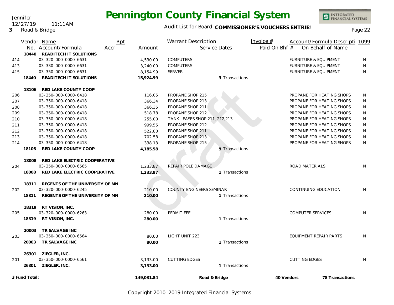Audit List for Board COMMISSIONER'S VOUCHERS ENTRIES<br>Page 22

|     |               | Vendor Name<br>No. Account/Formula    | Rpt<br>Accr | Amount     | <b>Warrant Description</b>      | Service Dates  | Invoice $#$<br>Paid On Bhf # |                                  | Account/Formula Descripti 1099<br>On Behalf of Name |   |
|-----|---------------|---------------------------------------|-------------|------------|---------------------------------|----------------|------------------------------|----------------------------------|-----------------------------------------------------|---|
|     |               | 18440 READITECH IT SOLUTIONS          |             |            |                                 |                |                              |                                  |                                                     |   |
| 414 |               | 03-320-000-0000-6631                  |             | 4,530.00   | <b>COMPUTERS</b>                |                |                              | <b>FURNITURE &amp; EQUIPMENT</b> |                                                     | N |
| 413 |               | 03-330-000-0000-6631                  |             | 3,240.00   | <b>COMPUTERS</b>                |                |                              | <b>FURNITURE &amp; EQUIPMENT</b> |                                                     | N |
| 415 |               | 03-350-000-0000-6631                  |             | 8,154.99   | <b>SERVER</b>                   |                |                              | <b>FURNITURE &amp; EQUIPMENT</b> |                                                     | N |
|     | 18440         | <b>READITECH IT SOLUTIONS</b>         |             | 15,924.99  |                                 | 3 Transactions |                              |                                  |                                                     |   |
|     | 18106         | RED LAKE COUNTY COOP                  |             |            |                                 |                |                              |                                  |                                                     |   |
| 206 |               | 03-350-000-0000-6418                  |             | 116.05     | PROPANE SHOP 215                |                |                              |                                  | PROPANE FOR HEATING SHOPS                           | N |
| 207 |               | 03-350-000-0000-6418                  |             | 366.34     | PROPANE SHOP 213                |                |                              |                                  | PROPANE FOR HEATING SHOPS                           | N |
| 208 |               | 03-350-000-0000-6418                  |             | 366.35     | PROPANE SHOP 211                |                |                              |                                  | PROPANE FOR HEATING SHOPS                           | N |
| 209 |               | 03-350-000-0000-6418                  |             | 518.78     | PROPANE SHOP 212                |                |                              |                                  | PROPANE FOR HEATING SHOPS                           | N |
| 210 |               | 03-350-000-0000-6418                  |             | 255.00     | TANK LEASES SHOP 211, 212,213   |                |                              |                                  | PROPANE FOR HEATING SHOPS                           | N |
| 211 |               | 03-350-000-0000-6418                  |             | 999.55     | PROPANE SHOP 212                |                |                              |                                  | PROPANE FOR HEATING SHOPS                           | N |
| 212 |               | 03-350-000-0000-6418                  |             | 522.80     | PROPANE SHOP 211                |                |                              |                                  | PROPANE FOR HEATING SHOPS                           | N |
| 213 |               | 03-350-000-0000-6418                  |             | 702.58     | PROPANE SHOP 213                |                |                              |                                  | PROPANE FOR HEATING SHOPS                           | N |
| 214 |               | 03-350-000-0000-6418                  |             | 338.13     | PROPANE SHOP 215                |                |                              |                                  | PROPANE FOR HEATING SHOPS                           | N |
|     | 18106         | RED LAKE COUNTY COOP                  |             | 4,185.58   |                                 | 9 Transactions |                              |                                  |                                                     |   |
|     | 18008         | RED LAKE ELECTRIC COOPERATIVE         |             |            |                                 |                |                              |                                  |                                                     |   |
| 204 |               | 03-350-000-0000-6565                  |             | 1,233.87   | REPAIR POLE DAMAGE              |                |                              | ROAD MATERIALS                   |                                                     | N |
|     | 18008         | RED LAKE ELECTRIC COOPERATIVE         |             | 1,233.87   |                                 | 1 Transactions |                              |                                  |                                                     |   |
|     | 18311         | REGENTS OF THE UNIVERSITY OF MN       |             |            |                                 |                |                              |                                  |                                                     |   |
| 202 |               | 03-320-000-0000-6245                  |             | 210.00     | <b>COUNTY ENGINEERS SEMINAR</b> |                |                              | CONTINUING EDUCATION             |                                                     | N |
|     |               | 18311 REGENTS OF THE UNIVERSITY OF MN |             | 210.00     |                                 | 1 Transactions |                              |                                  |                                                     |   |
|     |               | 18319 RT VISION, INC.                 |             |            |                                 |                |                              |                                  |                                                     |   |
| 205 |               | 03-320-000-0000-6263                  |             | 280.00     | PERMIT FEE                      |                |                              | <b>COMPUTER SERVICES</b>         |                                                     | N |
|     |               | 18319 RT VISION, INC.                 |             | 280.00     |                                 | 1 Transactions |                              |                                  |                                                     |   |
|     | 20003         | TR SALVAGE INC                        |             |            |                                 |                |                              |                                  |                                                     |   |
| 203 |               | 03-350-000-0000-6564                  |             | 80.00      | LIGHT UNIT 223                  |                |                              | EQUIPMENT REPAIR PARTS           |                                                     | N |
|     | 20003         | TR SALVAGE INC                        |             | 80.00      |                                 | 1 Transactions |                              |                                  |                                                     |   |
|     | 26301         | ZIEGLER, INC.                         |             |            |                                 |                |                              |                                  |                                                     |   |
| 201 |               | 03-350-000-0000-6561                  |             | 3,133.00   | <b>CUTTING EDGES</b>            |                |                              | <b>CUTTING EDGES</b>             |                                                     | N |
|     |               | 26301 ZIEGLER, INC.                   |             | 3,133.00   |                                 | 1 Transactions |                              |                                  |                                                     |   |
|     | 3 Fund Total: |                                       |             | 149,031.84 | Road & Bridge                   |                | 40 Vendors                   |                                  | 78 Transactions                                     |   |

Copyright 2010-2019 Integrated Financial Systems

Jennifer 12/27/19 11:11AM

**3** Road & Bridge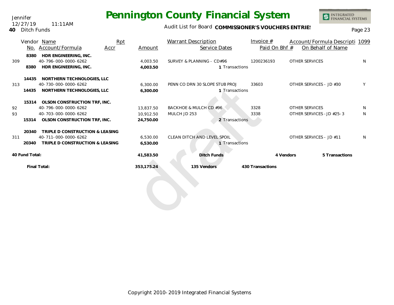Audit List for Board COMMISSIONER'S VOUCHERS ENTRIES<br>Page 23

|     |                | Vendor Name                        | Rpt  |            | <b>Warrant Description</b>     | Invoice $#$      |                       | Account/Formula Descripti 1099 |    |
|-----|----------------|------------------------------------|------|------------|--------------------------------|------------------|-----------------------|--------------------------------|----|
|     |                | No. Account/Formula                | Accr | Amount     | Service Dates                  | Paid On Bhf #    |                       | On Behalf of Name              |    |
|     | 8380           | HDR ENGINEERING, INC.              |      |            |                                |                  |                       |                                |    |
| 309 |                | 40-796-000-0000-6262               |      | 4.003.50   | SURVEY & PLANNING - CD#96      | 1200236193       | <b>OTHER SERVICES</b> |                                | N. |
|     | 8380           | HDR ENGINEERING, INC.              |      | 4.003.50   | 1 Transactions                 |                  |                       |                                |    |
|     | 14435          | NORTHERN TECHNOLOGIES, LLC         |      |            |                                |                  |                       |                                |    |
| 313 |                | 40-730-000-0000-6262               |      | 6,300.00   | PENN CO DRN 30 SLOPE STUB PROJ | 33603            |                       | OTHER SERVICES - JD #30        | Y  |
|     | 14435          | NORTHERN TECHNOLOGIES, LLC         |      | 6.300.00   | 1 Transactions                 |                  |                       |                                |    |
|     |                |                                    |      |            |                                |                  |                       |                                |    |
|     |                | 15314 OLSON CONSTRUCTION TRF, INC. |      |            |                                |                  |                       |                                |    |
| 92  |                | 40-796-000-0000-6262               |      | 13,837.50  | BACKHOE & MULCH CD #96         | 3328             | <b>OTHER SERVICES</b> |                                | N  |
| 93  |                | 40-703-000-0000-6262               |      | 10.912.50  | MULCH JD 253                   | 3338             |                       | OTHER SERVICES - JD #25-3      | N. |
|     | 15314          | OLSON CONSTRUCTION TRF, INC.       |      | 24,750.00  | 2 Transactions                 |                  |                       |                                |    |
|     | 20340          | TRIPLE D CONSTRUCTION & LEASING    |      |            |                                |                  |                       |                                |    |
| 311 |                | 40-711-000-0000-6262               |      | 6,530.00   | CLEAN DITCH AND LEVEL SPOIL    |                  |                       | OTHER SERVICES - JD #11        |    |
|     | 20340          | TRIPLE D CONSTRUCTION & LEASING    |      | 6,530.00   | 1 Transactions                 |                  |                       |                                |    |
|     | 40 Fund Total: |                                    |      | 41,583.50  | Ditch Funds                    |                  | 4 Vendors             | 5 Transactions                 |    |
|     |                | Final Total:                       |      | 353,175.24 | 135 Vendors                    | 430 Transactions |                       |                                |    |
|     |                |                                    |      |            |                                |                  |                       |                                |    |
|     |                |                                    |      |            |                                |                  |                       |                                |    |
|     |                |                                    |      |            |                                |                  |                       |                                |    |
|     |                |                                    |      |            |                                |                  |                       |                                |    |
|     |                |                                    |      |            |                                |                  |                       |                                |    |
|     |                |                                    |      |            |                                |                  |                       |                                |    |



Jennifer **40** Ditch Funds 12/27/19 11:11AM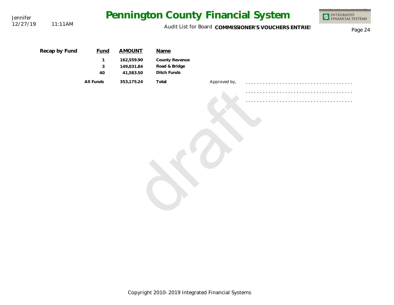| Jennifer |               |                                        |                                                        |                                                        |              | Pennington County Financial System                   | <b>INTEGRATED</b><br>FINANCIAL SYSTEMS |
|----------|---------------|----------------------------------------|--------------------------------------------------------|--------------------------------------------------------|--------------|------------------------------------------------------|----------------------------------------|
| 12/27/19 | 11:11AM       |                                        |                                                        |                                                        |              | Audit List for Board COMMISSIONER'S VOUCHERS ENTRIES | Page 24                                |
|          | Recap by Fund | <b>Fund</b><br>$\mathbf{1}$<br>3<br>40 | <b>AMOUNT</b><br>162,559.90<br>149,031.84<br>41,583.50 | Name<br>County Revenue<br>Road & Bridge<br>Ditch Funds |              |                                                      |                                        |
|          |               | All Funds                              | 353,175.24                                             | Total                                                  | Approved by, |                                                      |                                        |
|          |               |                                        |                                                        |                                                        |              |                                                      |                                        |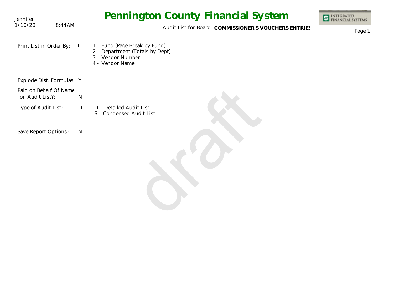| Jennifer                                  |                | <b>Pennington County Financial System</b>                                                                | <b>INTEGRATED<br/>FINANCIAL SYSTEMS</b> |
|-------------------------------------------|----------------|----------------------------------------------------------------------------------------------------------|-----------------------------------------|
| 1/10/20                                   | 8:44AM         | Audit List for Board COMMISSIONER'S VOUCHERS ENTRIES                                                     | Page 1                                  |
| Print List in Order By:                   | $\overline{1}$ | 1 - Fund (Page Break by Fund)<br>2 - Department (Totals by Dept)<br>3 - Vendor Number<br>4 - Vendor Name |                                         |
| Explode Dist. Formulas Y                  |                |                                                                                                          |                                         |
| Paid on Behalf Of Name<br>on Audit List?: |                | N                                                                                                        |                                         |
| Type of Audit List:                       |                | $\mathsf{D}$<br>D - Detailed Audit List<br>S - Condensed Audit List                                      |                                         |
| Save Report Options?:                     |                | N                                                                                                        |                                         |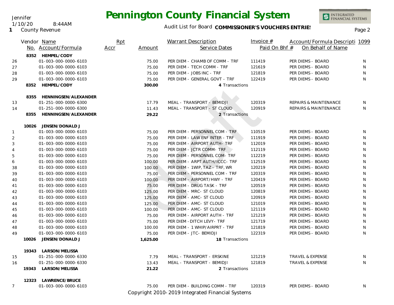

INTEGRATED<br>FINANCIAL SYSTEMS

**1** County Revenue 1/10/20 8:44AM

Jennifer

|                |       | Vendor Name               | Rpt  |          | <b>Warrant Description</b>                       | Invoice $#$   | Account/Formula Descripti 1099   |              |
|----------------|-------|---------------------------|------|----------|--------------------------------------------------|---------------|----------------------------------|--------------|
|                |       | No. Account/Formula       | Accr | Amount   | Service Dates                                    | Paid On Bhf # | On Behalf of Name                |              |
|                |       | 8352 HEMPEL/CODY          |      |          |                                                  |               |                                  |              |
| 26             |       | 01-003-000-0000-6103      |      | 75.00    | PER DIEM - CHAMB OF COMM - TRF                   | 111419        | PER DIEMS - BOARD                | N            |
| 27             |       | 01-003-000-0000-6103      |      | 75.00    | PER DIEM - TECH COMM - TRF                       | 121619        | PER DIEMS - BOARD                | N            |
| 28             |       | 01-003-000-0000-6103      |      | 75.00    | PER DIEM - JOBS INC - TRF                        | 121819        | PER DIEMS - BOARD                | N            |
| 29             |       | 01-003-000-0000-6103      |      | 75.00    | PER DIEM - GENERAL GOVT - TRF                    | 122419        | PER DIEMS - BOARD                | $\mathsf{N}$ |
|                |       | 8352 HEMPEL/CODY          |      | 300.00   | 4 Transactions                                   |               |                                  |              |
|                |       | 8355 HENNINGSEN/ALEXANDER |      |          |                                                  |               |                                  |              |
| 13             |       | 01-251-000-0000-6300      |      | 17.79    | MEAL - TRANSPORT - BEMIDJI                       | 120319        | <b>REPAIRS &amp; MAINTENANCE</b> | N            |
| 14             |       | 01-251-000-0000-6300      |      | 11.43    | MEAL - TRANSPORT - ST CLOUD                      | 120919        | REPAIRS & MAINTENANCE            | N            |
|                | 8355  | HENNINGSEN/ALEXANDER      |      | 29.22    | 2 Transactions                                   |               |                                  |              |
|                |       |                           |      |          |                                                  |               |                                  |              |
|                | 10026 | JENSEN/DONALD J           |      |          |                                                  |               |                                  |              |
| $\mathbf{1}$   |       | 01-003-000-0000-6103      |      | 75.00    | PER DIEM - PERSONNEL COM - TRF                   | 110519        | PER DIEMS - BOARD                | N            |
| $\overline{2}$ |       | 01-003-000-0000-6103      |      | 75.00    | PER DIEM - LAW ENF INTER - TRF                   | 111919        | PER DIEMS - BOARD                | N            |
| 3              |       | 01-003-000-0000-6103      |      | 75.00    | PER DIEM - AIRPORT AUTH- TRF                     | 112019        | PER DIEMS - BOARD                | N            |
| $\overline{4}$ |       | 01-003-000-0000-6103      |      | 75.00    | PER DIEM - JCTR COMM- TRF                        | 112119        | PER DIEMS - BOARD                | N            |
| 5              |       | 01-003-000-0000-6103      |      | 75.00    | PER DIEM - PERSONNEL COM- TRF                    | 112219        | PER DIEMS - BOARD                | N            |
| 6              |       | 01-003-000-0000-6103      |      | 100.00   | PER DIEM - ARPT AUTH/ICCC- TRF                   | 112519        | PER DIEMS - BOARD                | N            |
| 38             |       | 01-003-000-0000-6103      |      | 100.00   | PER DIEM - 1WIP, TAZ - TRF, WR                   | 120219        | PER DIEMS - BOARD                | N            |
| 39             |       | 01-003-000-0000-6103      |      | 75.00    | PER DIEM - PERSONNEL COM - TRF                   | 120319        | PER DIEMS - BOARD                | N            |
| 40             |       | 01-003-000-0000-6103      |      | 100.00   | PER DIEM - AIRPORT/HWY - TRF                     | 120419        | PER DIEMS - BOARD                | N            |
| 41             |       | 01-003-000-0000-6103      |      | 75.00    | PER DIEM - DRUG TASK - TRF                       | 120519        | PER DIEMS - BOARD                | N            |
| 42             |       | 01-003-000-0000-6103      |      | 125.00   | PER DIEM - MRC- ST CLOUD                         | 120819        | PER DIEMS - BOARD                | N            |
| 43             |       | 01-003-000-0000-6103      |      | 125.00   | PER DIEM - AMC- ST CLOUD                         | 120919        | PER DIEMS - BOARD                | N            |
| 44             |       | 01-003-000-0000-6103      |      | 125.00   | PER DIEM - AMC- ST CLOUD                         | 121019        | PER DIEMS - BOARD                | N            |
| 45             |       | 01-003-000-0000-6103      |      | 100.00   | PER DIEM - AMC- ST CLOUD                         | 121119        | PER DIEMS - BOARD                | N            |
| 46             |       | 01-003-000-0000-6103      |      | 75.00    | PER DIEM - AIRPORT AUTH - TRF                    | 121219        | PER DIEMS - BOARD                | N            |
| 47             |       | 01-003-000-0000-6103      |      | 75.00    | PER DIEM - DITCH LEVY- TRF                       | 121719        | PER DIEMS - BOARD                | N            |
| 48             |       | 01-003-000-0000-6103      |      | 100.00   | PER DIEM - 1 WHIP/AIRPRT - TRF                   | 121819        | PER DIEMS - BOARD                | N            |
| 49             |       | 01-003-000-0000-6103      |      | 75.00    | PER DIEM - JTC- BEMIDJI                          | 122319        | PER DIEMS - BOARD                | N            |
|                | 10026 | JENSEN/DONALD J           |      | 1,625.00 | 18 Transactions                                  |               |                                  |              |
|                |       | 19343 LARSON/MELISSA      |      |          |                                                  |               |                                  |              |
| 15             |       | 01-251-000-0000-6330      |      | 7.79     | MEAL - TRANSPORT - ERSKINE                       | 121219        | <b>TRAVEL &amp; EXPENSE</b>      | N            |
| 16             |       | 01-251-000-0000-6330      |      | 13.43    | MEAL - TRANSPORT - BEMIDJI                       | 121819        | TRAVEL & EXPENSE                 | N            |
|                |       | 19343 LARSON/MELISSA      |      | 21.22    | 2 Transactions                                   |               |                                  |              |
|                | 12323 | LAWRENCE/BRUCE            |      |          |                                                  |               |                                  |              |
| $\overline{7}$ |       | 01-003-000-0000-6103      |      | 75.00    | PER DIEM - BUILDING COMM - TRF                   | 120319        | PER DIEMS - BOARD                | N            |
|                |       |                           |      |          | Copyright 2010-2019 Integrated Financial Systems |               |                                  |              |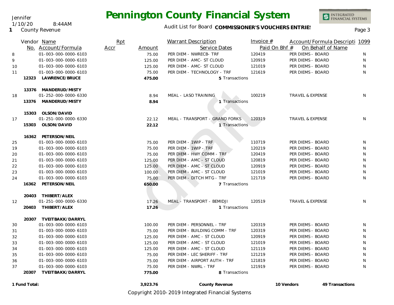Jennifer

**1** County Revenue

1/10/20 8:44AM

### Audit List for Board COMMISSIONER'S VOUCHERS ENTRIES<br>Page 3

INTEGRATED<br>FINANCIAL SYSTEMS

|    |               | Vendor Name          | Rpt  |          | Warrant Description            | Invoice $#$   | Account/Formula Descripti 1099 |                 |
|----|---------------|----------------------|------|----------|--------------------------------|---------------|--------------------------------|-----------------|
|    |               | No. Account/Formula  | Accr | Amount   | Service Dates                  | Paid On Bhf # | On Behalf of Name              |                 |
| 8  |               | 01-003-000-0000-6103 |      | 75.00    | PER DIEM - NWRECB- TRF         | 120419        | PER DIEMS - BOARD              | N.              |
| 9  |               | 01-003-000-0000-6103 |      | 125.00   | PER DIEM - AMC- ST CLOUD       | 120919        | PER DIEMS - BOARD              | N               |
| 10 |               | 01-003-000-0000-6103 |      | 125.00   | PER DIEM - AMC- ST CLOUD       | 121019        | PER DIEMS - BOARD              | N               |
| 11 |               | 01-003-000-0000-6103 |      | 75.00    | PER DIEM - TECHNOLOGY - TRF    | 121619        | PER DIEMS - BOARD              | N               |
|    | 12323         | LAWRENCE/BRUCE       |      | 475.00   | 5 Transactions                 |               |                                |                 |
|    |               | 13376 MANDERUD/MISTY |      |          |                                |               |                                |                 |
| 18 |               | 01-252-000-0000-6330 |      | 8.94     | MEAL - LASO TRAINING           | 100219        | TRAVEL & EXPENSE               | N               |
|    |               | 13376 MANDERUD/MISTY |      | 8.94     | 1 Transactions                 |               |                                |                 |
|    | 15303         | OLSON/DAVID          |      |          |                                |               |                                |                 |
| 17 |               | 01-251-000-0000-6330 |      | 22.12    | MEAL - TRANSPORT - GRAND FORKS | 120319        | TRAVEL & EXPENSE               | N               |
|    | 15303         | OLSON/DAVID          |      | 22.12    | 1 Transactions                 |               |                                |                 |
|    |               | 16362 PETERSON/NEIL  |      |          |                                |               |                                |                 |
| 25 |               | 01-003-000-0000-6103 |      | 75.00    | PER DIEM - 1WIP - TRF          | 110719        | PER DIEMS - BOARD              | N               |
| 19 |               | 01-003-000-0000-6103 |      | 75.00    | PER DIEM - 1WIP - TRF          | 120219        | PER DIEMS - BOARD              | N               |
| 20 |               | 01-003-000-0000-6103 |      | 75.00    | PER DIEM - HWY COMM - TRF      | 120419        | PER DIEMS - BOARD              | N               |
| 21 |               | 01-003-000-0000-6103 |      | 125.00   | PER DIEM - AMC - ST CLOUD      | 120819        | PER DIEMS - BOARD              | N               |
| 22 |               | 01-003-000-0000-6103 |      | 125.00   | PER DIEM - AMC - ST CLOUD      | 120919        | PER DIEMS - BOARD              | N               |
| 23 |               | 01-003-000-0000-6103 |      | 100.00   | PER DIEM - AMC - ST CLOUD      | 121019        | PER DIEMS - BOARD              | N               |
| 24 |               | 01-003-000-0000-6103 |      | 75.00    | PER DIEM - DITCH MTG - TRF     | 121719        | PER DIEMS - BOARD              | N               |
|    | 16362         | PETERSON/NEIL        |      | 650.00   | 7 Transactions                 |               |                                |                 |
|    | 20403         | THIBERT/ALEX         |      |          |                                |               |                                |                 |
| 12 |               | 01-251-000-0000-6330 |      | 17.26    | MEAL - TRANSPORT - BEMIDJI     | 120519        | <b>TRAVEL &amp; EXPENSE</b>    | N               |
|    | 20403         | THIBERT/ALEX         |      | 17.26    | 1 Transactions                 |               |                                |                 |
|    | 20307         | TVEITBAKK/DARRYL     |      |          |                                |               |                                |                 |
| 30 |               | 01-003-000-0000-6103 |      | 100.00   | PER DIEM - PERSONNEL - TRF     | 120319        | PER DIEMS - BOARD              | N               |
| 31 |               | 01-003-000-0000-6103 |      | 75.00    | PER DIEM - BUILDING COMM - TRF | 120319        | PER DIEMS - BOARD              | N               |
| 32 |               | 01-003-000-0000-6103 |      | 125.00   | PER DIEM - AMC - ST CLOUD      | 120919        | PER DIEMS - BOARD              | N               |
| 33 |               | 01-003-000-0000-6103 |      | 125.00   | PER DIEM - AMC - ST CLOUD      | 121019        | PER DIEMS - BOARD              | N               |
| 34 |               | 01-003-000-0000-6103 |      | 125.00   | PER DIEM - AMC - ST CLOUD      | 121119        | PER DIEMS - BOARD              | N               |
| 35 |               | 01-003-000-0000-6103 |      | 75.00    | PER DIEM - LEC SHERIFF - TRF   | 121219        | PER DIEMS - BOARD              | N               |
| 36 |               | 01-003-000-0000-6103 |      | 75.00    | PER DIEM - AIRPORT AUTH - TRF  | 121819        | PER DIEMS - BOARD              | N               |
| 37 |               | 01-003-000-0000-6103 |      | 75.00    | PER DIEM - NWRL - TRF          | 121919        | PER DIEMS - BOARD              | N               |
|    | 20307         | TVEITBAKK/DARRYL     |      | 775.00   | 8 Transactions                 |               |                                |                 |
|    | 1 Fund Total: |                      |      | 3,923.76 | County Revenue                 |               | 10 Vendors                     | 49 Transactions |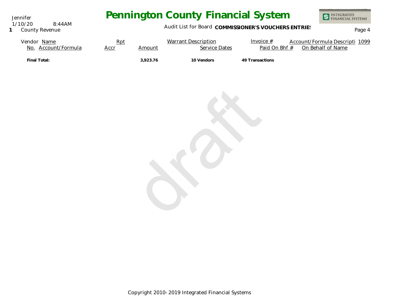Jennifer 1/10/20 8:44AM

### **1** County Revenue

# **Pennington County Financial System**



### Audit List for Board COMMISSIONER'S VOUCHERS ENTRIES<br>Page 4

| Vendor Name         | <u>Rpt</u> |          | Warrant Description | Invoice $#$     | Account/Formula Descripti 1099 |
|---------------------|------------|----------|---------------------|-----------------|--------------------------------|
| No. Account/Formula | Accr       | Amount   | Service Dates       | Paid On Bhf #   | On Behalf of Name              |
| Final Total:        |            | 3.923.76 | 10 Vendors          | 49 Transactions |                                |